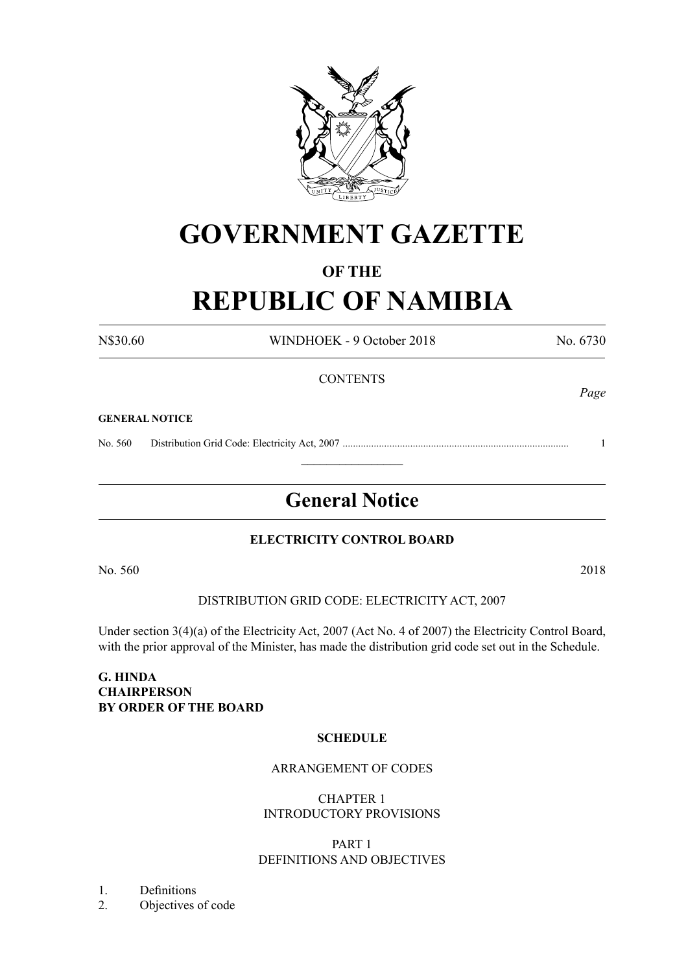

# **GOVERNMENT GAZETTE**

# **OF THE**

# **REPUBLIC OF NAMIBIA**

N\$30.60 WINDHOEK - 9 October 2018 No. 6730 **CONTENTS** *Page* **GENERAL NOTICE** No. 560 Distribution Grid Code: Electricity Act, 2007 ....................................................................................... 1  $\frac{1}{2}$ 

# **General Notice**

# **ELECTRICITY CONTROL BOARD**

No. 560 2018

DISTRIBUTION GRID CODE: ELECTRICITY ACT, 2007

Under section 3(4)(a) of the Electricity Act, 2007 (Act No. 4 of 2007) the Electricity Control Board, with the prior approval of the Minister, has made the distribution grid code set out in the Schedule.

#### **G. HINDA CHAIRPERSON BY ORDER OF THE BOARD**

# **SCHEDULE**

# ARRANGEMENT OF CODES

CHAPTER 1 INTRODUCTORY PROVISIONS

# PART 1 DEFINITIONS AND OBJECTIVES

- 1. Definitions
- 2. Objectives of code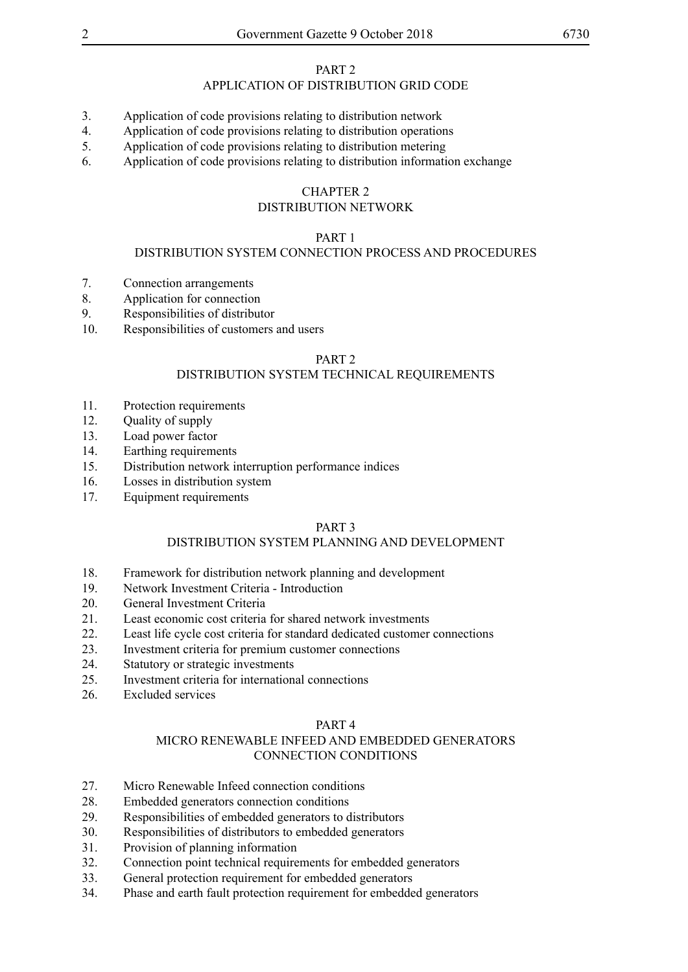#### PART 2

# APPLICATION OF DISTRIBUTION GRID CODE

- 3. Application of code provisions relating to distribution network
- 4. Application of code provisions relating to distribution operations
- 5. Application of code provisions relating to distribution metering
- 6. Application of code provisions relating to distribution information exchange

#### CHAPTER 2

#### DISTRIBUTION NETWORK

#### PART 1

#### DISTRIBUTION SYSTEM CONNECTION PROCESS AND PROCEDURES

- 7. Connection arrangements
- 8. Application for connection
- 9. Responsibilities of distributor
- 10. Responsibilities of customers and users

#### PART 2

#### DISTRIBUTION SYSTEM TECHNICAL REQUIREMENTS

- 11. Protection requirements
- 12. Quality of supply
- 13. Load power factor
- 14. Earthing requirements
- 15. Distribution network interruption performance indices
- 16. Losses in distribution system
- 17. Equipment requirements

#### PART 3

#### DISTRIBUTION SYSTEM PLANNING AND DEVELOPMENT

- 18. Framework for distribution network planning and development
- 19. Network Investment Criteria Introduction
- 20. General Investment Criteria
- 21. Least economic cost criteria for shared network investments
- 22. Least life cycle cost criteria for standard dedicated customer connections
- 23. Investment criteria for premium customer connections
- 24. Statutory or strategic investments
- 25. Investment criteria for international connections
- 26. Excluded services

#### PART 4

#### MICRO RENEWABLE INFEED AND EMBEDDED GENERATORS CONNECTION CONDITIONS

- 27. Micro Renewable Infeed connection conditions
- 28. Embedded generators connection conditions
- 29. Responsibilities of embedded generators to distributors
- 30. Responsibilities of distributors to embedded generators
- 31. Provision of planning information
- 32. Connection point technical requirements for embedded generators
- 33. General protection requirement for embedded generators
- 34. Phase and earth fault protection requirement for embedded generators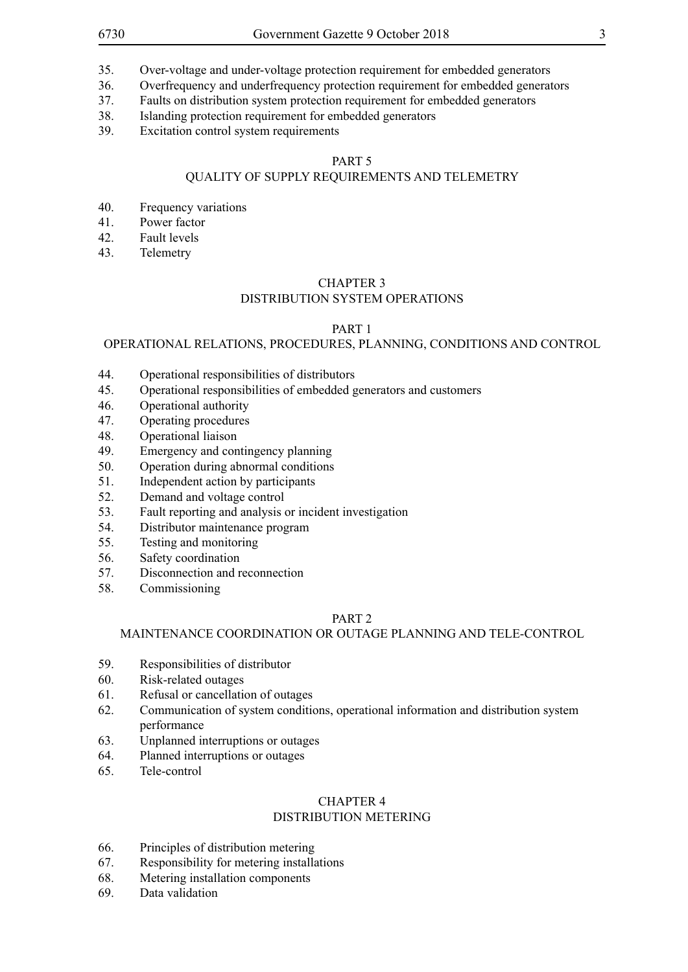- 35. Over-voltage and under-voltage protection requirement for embedded generators
- 36. Overfrequency and underfrequency protection requirement for embedded generators
- 37. Faults on distribution system protection requirement for embedded generators
- 38. Islanding protection requirement for embedded generators
- 39. Excitation control system requirements

# PART 5

# QUALITY OF SUPPLY REQUIREMENTS AND TELEMETRY

- 40. Frequency variations
- 41. Power factor
- 42. Fault levels
- 43. Telemetry

#### CHAPTER 3

#### DISTRIBUTION SYSTEM OPERATIONS

#### PART 1

#### OPERATIONAL RELATIONS, PROCEDURES, PLANNING, CONDITIONS AND CONTROL

- 44. Operational responsibilities of distributors
- 45. Operational responsibilities of embedded generators and customers
- 46. Operational authority
- 47. Operating procedures
- 48. Operational liaison
- 49. Emergency and contingency planning
- 50. Operation during abnormal conditions
- 51. Independent action by participants
- 52. Demand and voltage control
- 53. Fault reporting and analysis or incident investigation
- 54. Distributor maintenance program
- 55. Testing and monitoring
- 56. Safety coordination
- 57. Disconnection and reconnection
- 58. Commissioning

#### PART 2

#### MAINTENANCE COORDINATION OR OUTAGE PLANNING AND TELE-CONTROL

- 59. Responsibilities of distributor
- 60. Risk-related outages
- 61. Refusal or cancellation of outages
- 62. Communication of system conditions, operational information and distribution system performance
- 63. Unplanned interruptions or outages
- 64. Planned interruptions or outages
- 65. Tele-control

#### CHAPTER 4

#### DISTRIBUTION METERING

- 66. Principles of distribution metering
- 67. Responsibility for metering installations
- 68. Metering installation components
- 69. Data validation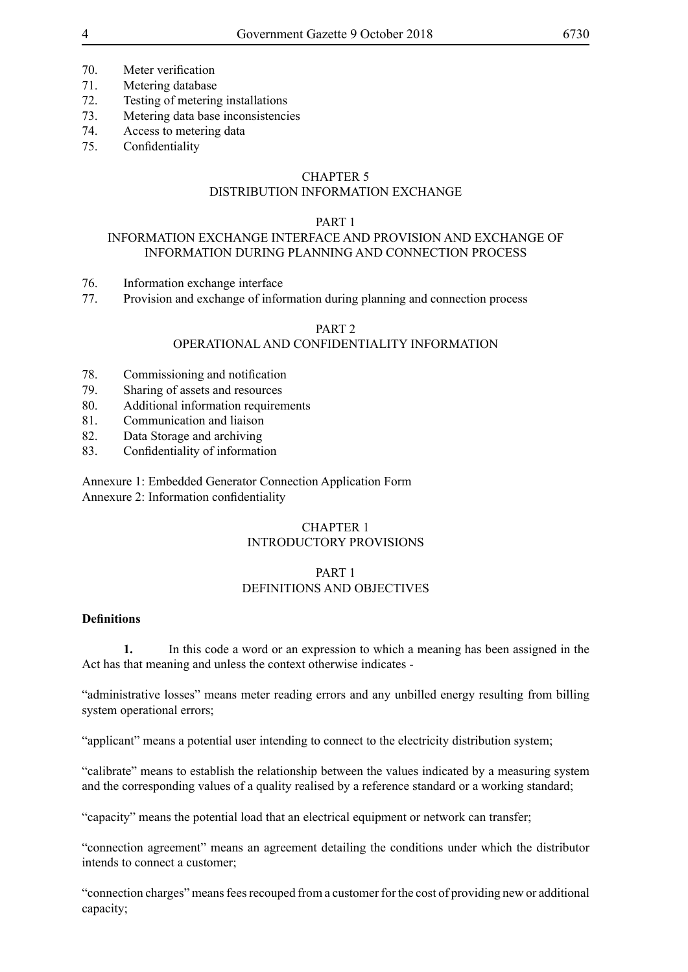- 70. Meter verification
- 71. Metering database
- 72. Testing of metering installations
- 73. Metering data base inconsistencies
- 74. Access to metering data
- 75. Confidentiality

#### CHAPTER 5

#### DISTRIBUTION INFORMATION EXCHANGE

#### PART 1

#### INFORMATION EXCHANGE INTERFACE AND PROVISION AND EXCHANGE OF INFORMATION DURING PLANNING AND CONNECTION PROCESS

- 76. Information exchange interface
- 77. Provision and exchange of information during planning and connection process

#### PART 2

#### OPERATIONAL AND CONFIDENTIALITY INFORMATION

- 78. Commissioning and notification
- 79. Sharing of assets and resources
- 80. Additional information requirements
- 81. Communication and liaison
- 82. Data Storage and archiving
- 83. Confidentiality of information

Annexure 1: Embedded Generator Connection Application Form Annexure 2: Information confidentiality

#### CHAPTER 1 INTRODUCTORY PROVISIONS

#### PART 1 DEFINITIONS AND OBJECTIVES

# **Definitions**

**1.** In this code a word or an expression to which a meaning has been assigned in the Act has that meaning and unless the context otherwise indicates -

"administrative losses" means meter reading errors and any unbilled energy resulting from billing system operational errors;

"applicant" means a potential user intending to connect to the electricity distribution system;

"calibrate" means to establish the relationship between the values indicated by a measuring system and the corresponding values of a quality realised by a reference standard or a working standard;

"capacity" means the potential load that an electrical equipment or network can transfer;

"connection agreement" means an agreement detailing the conditions under which the distributor intends to connect a customer;

"connection charges" means fees recouped from a customer for the cost of providing new or additional capacity;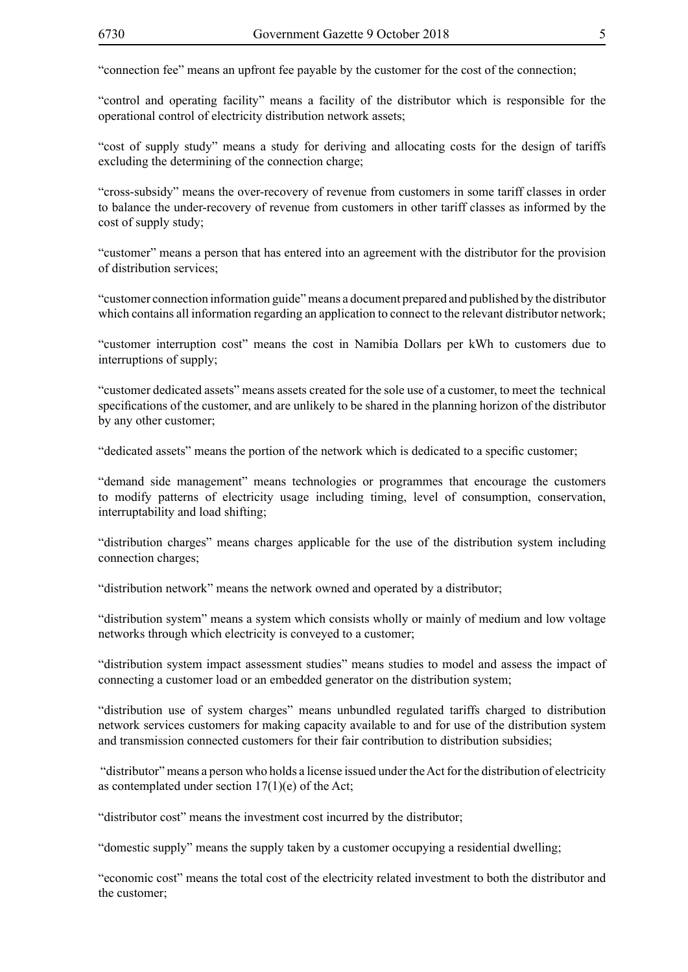"connection fee" means an upfront fee payable by the customer for the cost of the connection;

"control and operating facility" means a facility of the distributor which is responsible for the operational control of electricity distribution network assets;

"cost of supply study" means a study for deriving and allocating costs for the design of tariffs excluding the determining of the connection charge;

"cross-subsidy" means the over-recovery of revenue from customers in some tariff classes in order to balance the under-recovery of revenue from customers in other tariff classes as informed by the cost of supply study;

"customer" means a person that has entered into an agreement with the distributor for the provision of distribution services;

"customer connection information guide" means a document prepared and published by the distributor which contains all information regarding an application to connect to the relevant distributor network;

"customer interruption cost" means the cost in Namibia Dollars per kWh to customers due to interruptions of supply;

"customer dedicated assets" means assets created for the sole use of a customer, to meet the technical specifications of the customer, and are unlikely to be shared in the planning horizon of the distributor by any other customer;

"dedicated assets" means the portion of the network which is dedicated to a specific customer;

"demand side management" means technologies or programmes that encourage the customers to modify patterns of electricity usage including timing, level of consumption, conservation, interruptability and load shifting;

"distribution charges" means charges applicable for the use of the distribution system including connection charges;

"distribution network" means the network owned and operated by a distributor;

"distribution system" means a system which consists wholly or mainly of medium and low voltage networks through which electricity is conveyed to a customer;

"distribution system impact assessment studies" means studies to model and assess the impact of connecting a customer load or an embedded generator on the distribution system;

"distribution use of system charges" means unbundled regulated tariffs charged to distribution network services customers for making capacity available to and for use of the distribution system and transmission connected customers for their fair contribution to distribution subsidies;

 "distributor" means a person who holds a license issued under the Act for the distribution of electricity as contemplated under section  $17(1)(e)$  of the Act;

"distributor cost" means the investment cost incurred by the distributor;

"domestic supply" means the supply taken by a customer occupying a residential dwelling;

"economic cost" means the total cost of the electricity related investment to both the distributor and the customer;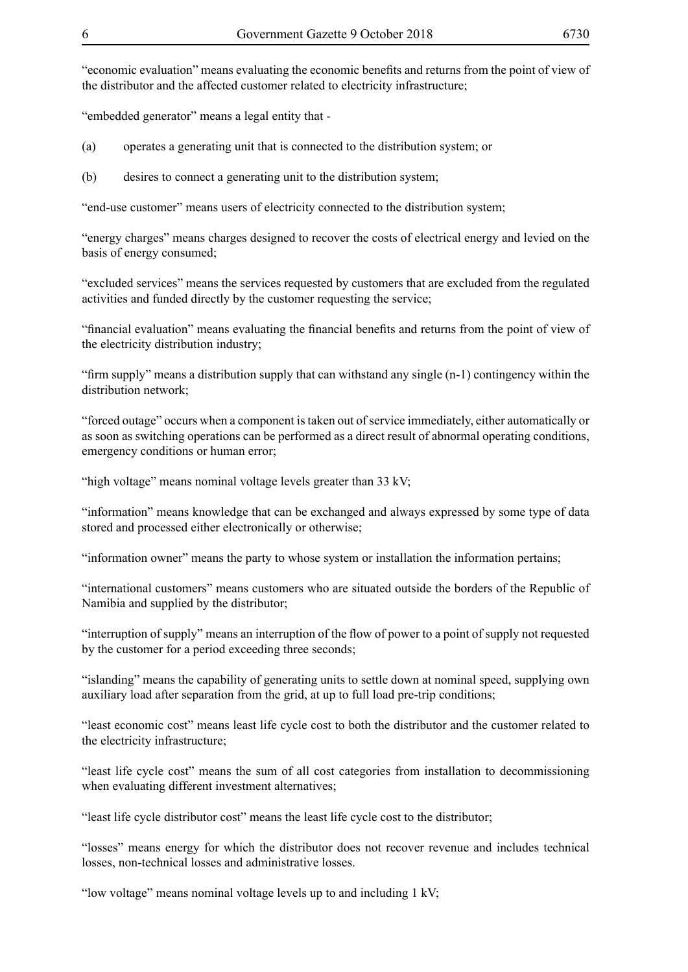"economic evaluation" means evaluating the economic benefits and returns from the point of view of the distributor and the affected customer related to electricity infrastructure;

"embedded generator" means a legal entity that -

(a) operates a generating unit that is connected to the distribution system; or

(b) desires to connect a generating unit to the distribution system;

"end-use customer" means users of electricity connected to the distribution system;

"energy charges" means charges designed to recover the costs of electrical energy and levied on the basis of energy consumed;

"excluded services" means the services requested by customers that are excluded from the regulated activities and funded directly by the customer requesting the service;

"financial evaluation" means evaluating the financial benefits and returns from the point of view of the electricity distribution industry;

"firm supply" means a distribution supply that can withstand any single (n-1) contingency within the distribution network;

"forced outage" occurs when a component is taken out of service immediately, either automatically or as soon as switching operations can be performed as a direct result of abnormal operating conditions, emergency conditions or human error;

"high voltage" means nominal voltage levels greater than 33 kV;

"information" means knowledge that can be exchanged and always expressed by some type of data stored and processed either electronically or otherwise;

"information owner" means the party to whose system or installation the information pertains;

"international customers" means customers who are situated outside the borders of the Republic of Namibia and supplied by the distributor;

"interruption of supply" means an interruption of the flow of power to a point of supply not requested by the customer for a period exceeding three seconds;

"islanding" means the capability of generating units to settle down at nominal speed, supplying own auxiliary load after separation from the grid, at up to full load pre-trip conditions;

"least economic cost" means least life cycle cost to both the distributor and the customer related to the electricity infrastructure;

"least life cycle cost" means the sum of all cost categories from installation to decommissioning when evaluating different investment alternatives;

"least life cycle distributor cost" means the least life cycle cost to the distributor;

"losses" means energy for which the distributor does not recover revenue and includes technical losses, non-technical losses and administrative losses.

"low voltage" means nominal voltage levels up to and including 1 kV;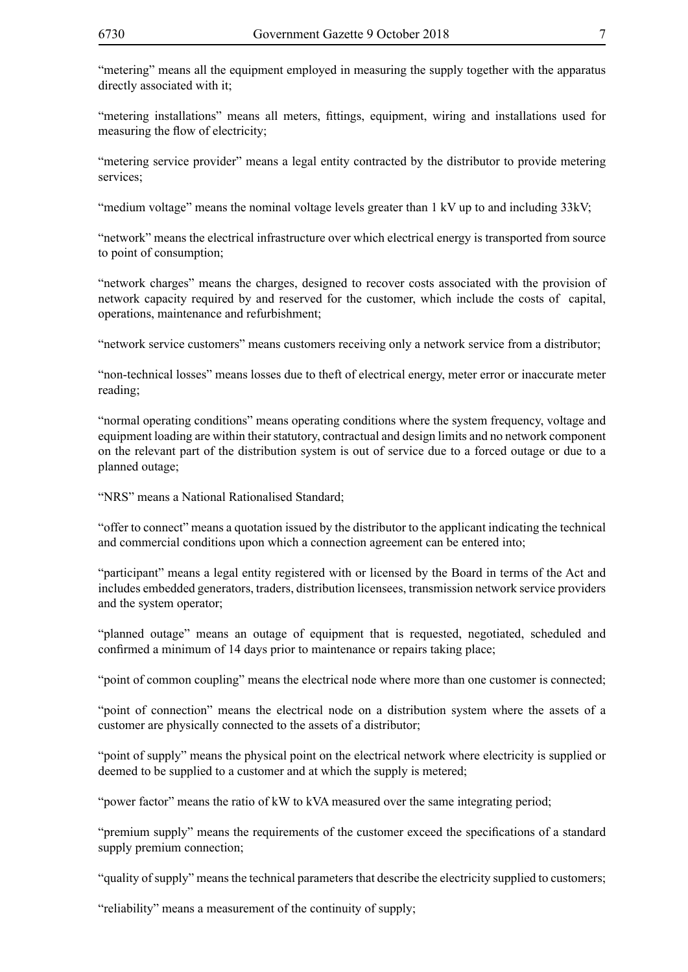"metering" means all the equipment employed in measuring the supply together with the apparatus directly associated with it;

"metering installations" means all meters, fittings, equipment, wiring and installations used for measuring the flow of electricity;

"metering service provider" means a legal entity contracted by the distributor to provide metering services;

"medium voltage" means the nominal voltage levels greater than  $1 \text{ kV}$  up to and including  $33 \text{kV}$ ;

"network" means the electrical infrastructure over which electrical energy is transported from source to point of consumption;

"network charges" means the charges, designed to recover costs associated with the provision of network capacity required by and reserved for the customer, which include the costs of capital, operations, maintenance and refurbishment;

"network service customers" means customers receiving only a network service from a distributor;

"non-technical losses" means losses due to theft of electrical energy, meter error or inaccurate meter reading;

"normal operating conditions" means operating conditions where the system frequency, voltage and equipment loading are within their statutory, contractual and design limits and no network component on the relevant part of the distribution system is out of service due to a forced outage or due to a planned outage;

"NRS" means a National Rationalised Standard;

"offer to connect" means a quotation issued by the distributor to the applicant indicating the technical and commercial conditions upon which a connection agreement can be entered into;

"participant" means a legal entity registered with or licensed by the Board in terms of the Act and includes embedded generators, traders, distribution licensees, transmission network service providers and the system operator;

"planned outage" means an outage of equipment that is requested, negotiated, scheduled and confirmed a minimum of 14 days prior to maintenance or repairs taking place;

"point of common coupling" means the electrical node where more than one customer is connected;

"point of connection" means the electrical node on a distribution system where the assets of a customer are physically connected to the assets of a distributor;

"point of supply" means the physical point on the electrical network where electricity is supplied or deemed to be supplied to a customer and at which the supply is metered;

"power factor" means the ratio of kW to kVA measured over the same integrating period;

"premium supply" means the requirements of the customer exceed the specifications of a standard supply premium connection;

"quality of supply" means the technical parameters that describe the electricity supplied to customers;

"reliability" means a measurement of the continuity of supply;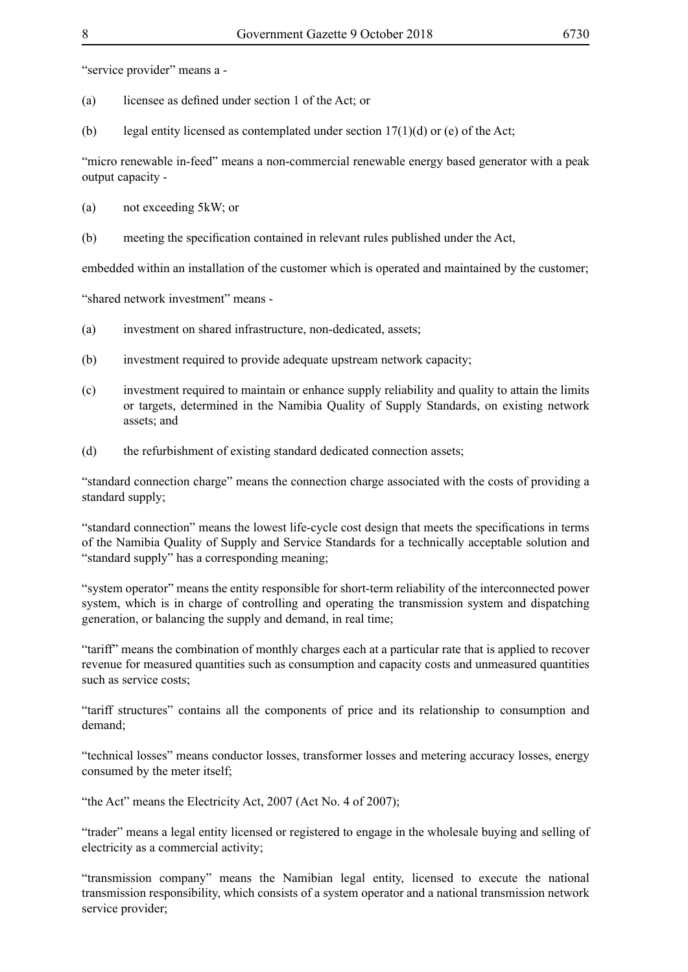"service provider" means a -

- (a) licensee as defined under section 1 of the Act; or
- (b) legal entity licensed as contemplated under section  $17(1)(d)$  or (e) of the Act;

"micro renewable in-feed" means a non-commercial renewable energy based generator with a peak output capacity -

- (a) not exceeding 5kW; or
- (b) meeting the specification contained in relevant rules published under the Act,

embedded within an installation of the customer which is operated and maintained by the customer;

"shared network investment" means -

- (a) investment on shared infrastructure, non-dedicated, assets;
- (b) investment required to provide adequate upstream network capacity;
- (c) investment required to maintain or enhance supply reliability and quality to attain the limits or targets, determined in the Namibia Quality of Supply Standards, on existing network assets; and
- (d) the refurbishment of existing standard dedicated connection assets;

"standard connection charge" means the connection charge associated with the costs of providing a standard supply;

"standard connection" means the lowest life-cycle cost design that meets the specifications in terms of the Namibia Quality of Supply and Service Standards for a technically acceptable solution and "standard supply" has a corresponding meaning;

"system operator" means the entity responsible for short-term reliability of the interconnected power system, which is in charge of controlling and operating the transmission system and dispatching generation, or balancing the supply and demand, in real time;

"tariff" means the combination of monthly charges each at a particular rate that is applied to recover revenue for measured quantities such as consumption and capacity costs and unmeasured quantities such as service costs;

"tariff structures" contains all the components of price and its relationship to consumption and demand;

"technical losses" means conductor losses, transformer losses and metering accuracy losses, energy consumed by the meter itself;

"the Act" means the Electricity Act, 2007 (Act No. 4 of 2007);

"trader" means a legal entity licensed or registered to engage in the wholesale buying and selling of electricity as a commercial activity;

"transmission company" means the Namibian legal entity, licensed to execute the national transmission responsibility, which consists of a system operator and a national transmission network service provider;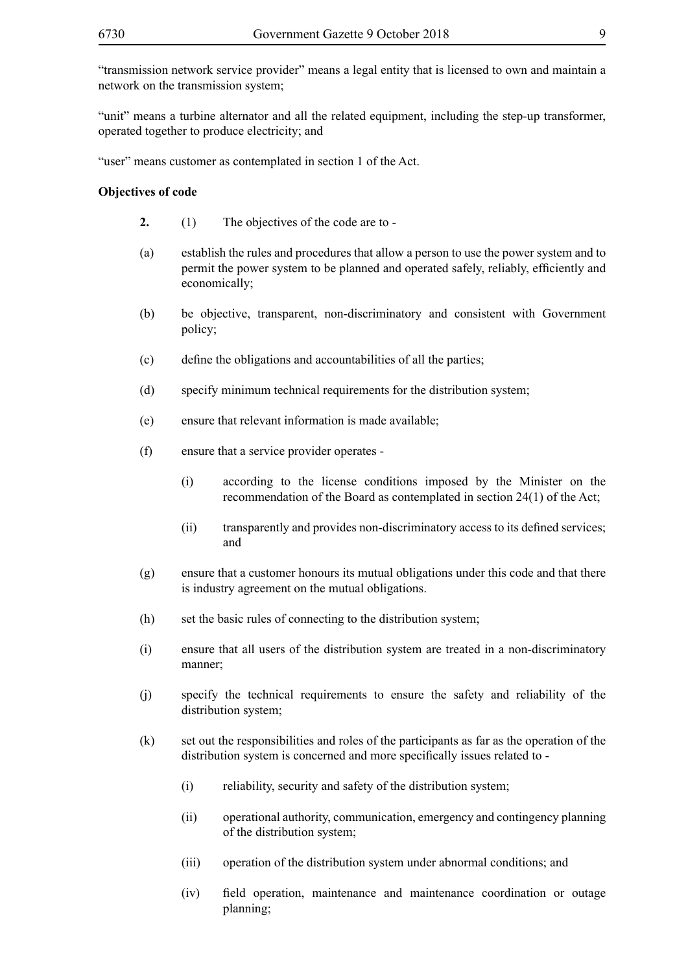"transmission network service provider" means a legal entity that is licensed to own and maintain a network on the transmission system;

"unit" means a turbine alternator and all the related equipment, including the step-up transformer, operated together to produce electricity; and

"user" means customer as contemplated in section 1 of the Act.

#### **Objectives of code**

- **2.** (1) The objectives of the code are to -
- (a) establish the rules and procedures that allow a person to use the power system and to permit the power system to be planned and operated safely, reliably, efficiently and economically;
- (b) be objective, transparent, non-discriminatory and consistent with Government policy;
- (c) define the obligations and accountabilities of all the parties;
- (d) specify minimum technical requirements for the distribution system;
- (e) ensure that relevant information is made available;
- (f) ensure that a service provider operates
	- (i) according to the license conditions imposed by the Minister on the recommendation of the Board as contemplated in section 24(1) of the Act;
	- (ii) transparently and provides non-discriminatory access to its defined services; and
- (g) ensure that a customer honours its mutual obligations under this code and that there is industry agreement on the mutual obligations.
- (h) set the basic rules of connecting to the distribution system;
- (i) ensure that all users of the distribution system are treated in a non-discriminatory manner;
- (j) specify the technical requirements to ensure the safety and reliability of the distribution system;
- (k) set out the responsibilities and roles of the participants as far as the operation of the distribution system is concerned and more specifically issues related to -
	- (i) reliability, security and safety of the distribution system;
	- (ii) operational authority, communication, emergency and contingency planning of the distribution system;
	- (iii) operation of the distribution system under abnormal conditions; and
	- (iv) field operation, maintenance and maintenance coordination or outage planning;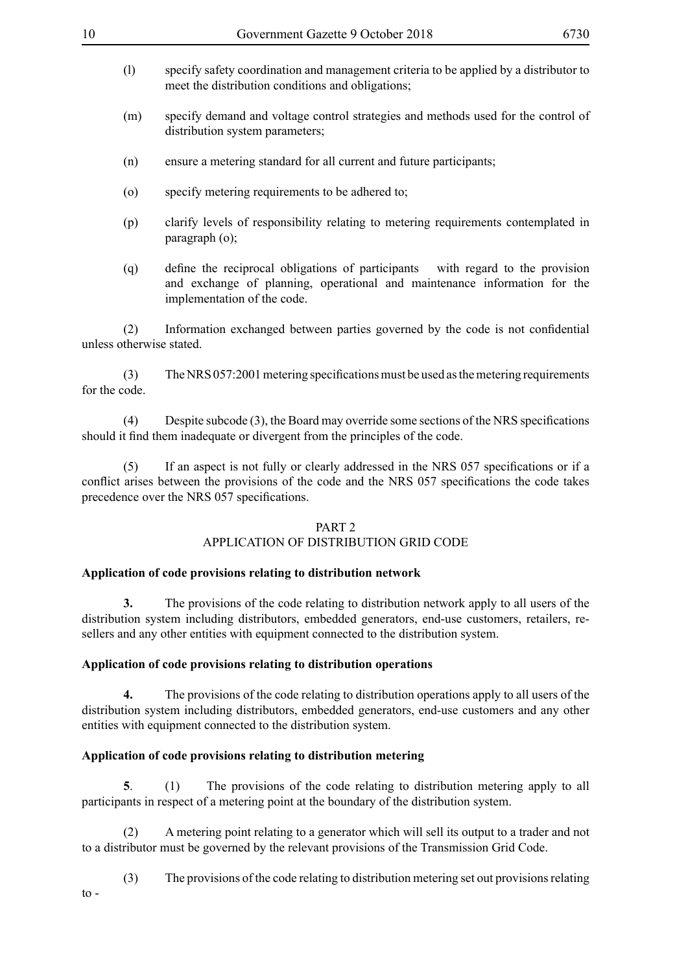- (l) specify safety coordination and management criteria to be applied by a distributor to meet the distribution conditions and obligations;
- (m) specify demand and voltage control strategies and methods used for the control of distribution system parameters;
- (n) ensure a metering standard for all current and future participants;
- (o) specify metering requirements to be adhered to;
- (p) clarify levels of responsibility relating to metering requirements contemplated in paragraph (o);
- (q) define the reciprocal obligations of participants with regard to the provision and exchange of planning, operational and maintenance information for the implementation of the code.

(2) Information exchanged between parties governed by the code is not confidential unless otherwise stated.

(3) The NRS 057:2001 metering specifications must be used as the metering requirements for the code.

(4) Despite subcode (3), the Board may override some sections of the NRS specifications should it find them inadequate or divergent from the principles of the code.

(5) If an aspect is not fully or clearly addressed in the NRS 057 specifications or if a conflict arises between the provisions of the code and the NRS 057 specifications the code takes precedence over the NRS 057 specifications.

#### PART 2

# APPLICATION OF DISTRIBUTION GRID CODE

# **Application of code provisions relating to distribution network**

**3.** The provisions of the code relating to distribution network apply to all users of the distribution system including distributors, embedded generators, end-use customers, retailers, resellers and any other entities with equipment connected to the distribution system.

# **Application of code provisions relating to distribution operations**

**4.** The provisions of the code relating to distribution operations apply to all users of the distribution system including distributors, embedded generators, end-use customers and any other entities with equipment connected to the distribution system.

# **Application of code provisions relating to distribution metering**

**5**. (1) The provisions of the code relating to distribution metering apply to all participants in respect of a metering point at the boundary of the distribution system.

(2) A metering point relating to a generator which will sell its output to a trader and not to a distributor must be governed by the relevant provisions of the Transmission Grid Code.

(3) The provisions of the code relating to distribution metering set out provisions relating to -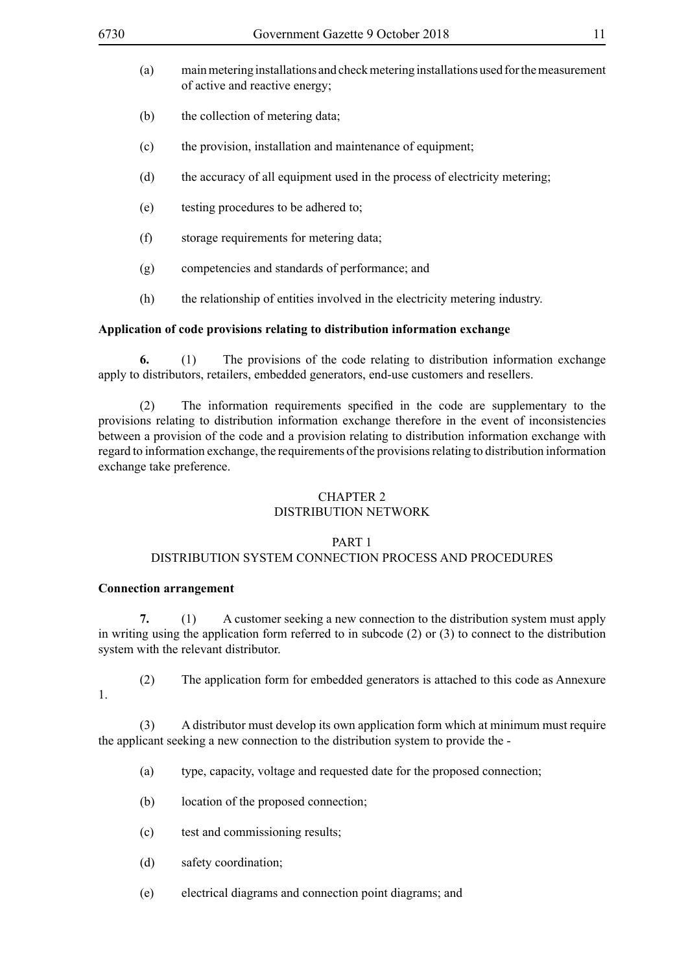- (a) main metering installations and check metering installations used for the measurement of active and reactive energy;
- (b) the collection of metering data;
- (c) the provision, installation and maintenance of equipment;
- (d) the accuracy of all equipment used in the process of electricity metering;
- (e) testing procedures to be adhered to;
- (f) storage requirements for metering data;
- (g) competencies and standards of performance; and
- (h) the relationship of entities involved in the electricity metering industry.

#### **Application of code provisions relating to distribution information exchange**

**6.** (1) The provisions of the code relating to distribution information exchange apply to distributors, retailers, embedded generators, end-use customers and resellers.

(2) The information requirements specified in the code are supplementary to the provisions relating to distribution information exchange therefore in the event of inconsistencies between a provision of the code and a provision relating to distribution information exchange with regard to information exchange, the requirements of the provisions relating to distribution information exchange take preference.

# CHAPTER 2

# DISTRIBUTION NETWORK

#### PART 1

#### DISTRIBUTION SYSTEM CONNECTION PROCESS AND PROCEDURES

#### **Connection arrangement**

**7.** (1) A customer seeking a new connection to the distribution system must apply in writing using the application form referred to in subcode (2) or (3) to connect to the distribution system with the relevant distributor.

- (2) The application form for embedded generators is attached to this code as Annexure
- 1.

(3) A distributor must develop its own application form which at minimum must require the applicant seeking a new connection to the distribution system to provide the -

- (a) type, capacity, voltage and requested date for the proposed connection;
- (b) location of the proposed connection;
- (c) test and commissioning results;
- (d) safety coordination;
- (e) electrical diagrams and connection point diagrams; and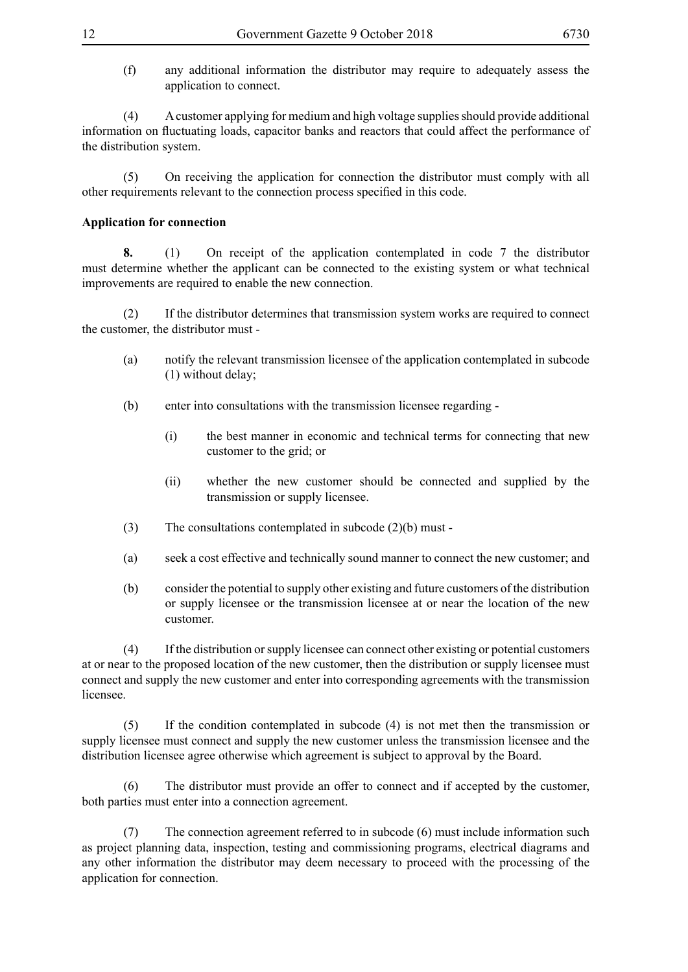(f) any additional information the distributor may require to adequately assess the application to connect.

(4) A customer applying for medium and high voltage supplies should provide additional information on fluctuating loads, capacitor banks and reactors that could affect the performance of the distribution system.

(5) On receiving the application for connection the distributor must comply with all other requirements relevant to the connection process specified in this code.

#### **Application for connection**

**8.** (1) On receipt of the application contemplated in code 7 the distributor must determine whether the applicant can be connected to the existing system or what technical improvements are required to enable the new connection.

(2) If the distributor determines that transmission system works are required to connect the customer, the distributor must -

- (a) notify the relevant transmission licensee of the application contemplated in subcode (1) without delay;
- (b) enter into consultations with the transmission licensee regarding
	- (i) the best manner in economic and technical terms for connecting that new customer to the grid; or
	- (ii) whether the new customer should be connected and supplied by the transmission or supply licensee.
- (3) The consultations contemplated in subcode (2)(b) must -
- (a) seek a cost effective and technically sound manner to connect the new customer; and
- (b) consider the potential to supply other existing and future customers of the distribution or supply licensee or the transmission licensee at or near the location of the new customer.

(4) If the distribution or supply licensee can connect other existing or potential customers at or near to the proposed location of the new customer, then the distribution or supply licensee must connect and supply the new customer and enter into corresponding agreements with the transmission licensee.

(5) If the condition contemplated in subcode (4) is not met then the transmission or supply licensee must connect and supply the new customer unless the transmission licensee and the distribution licensee agree otherwise which agreement is subject to approval by the Board.

(6) The distributor must provide an offer to connect and if accepted by the customer, both parties must enter into a connection agreement.

(7) The connection agreement referred to in subcode (6) must include information such as project planning data, inspection, testing and commissioning programs, electrical diagrams and any other information the distributor may deem necessary to proceed with the processing of the application for connection.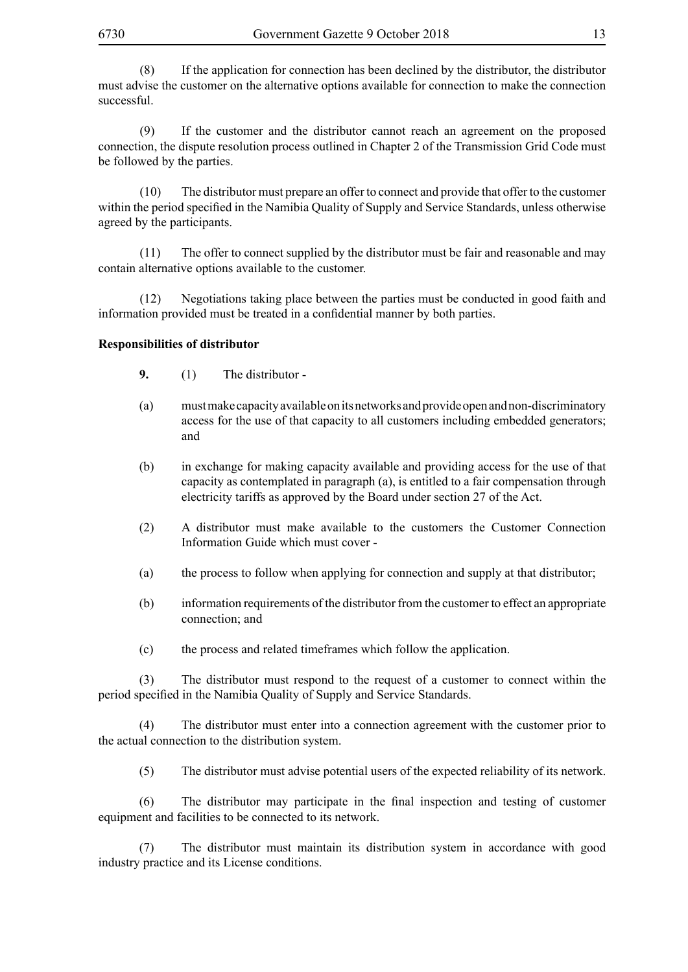(8) If the application for connection has been declined by the distributor, the distributor must advise the customer on the alternative options available for connection to make the connection successful.

(9) If the customer and the distributor cannot reach an agreement on the proposed connection, the dispute resolution process outlined in Chapter 2 of the Transmission Grid Code must be followed by the parties.

(10) The distributor must prepare an offer to connect and provide that offer to the customer within the period specified in the Namibia Quality of Supply and Service Standards, unless otherwise agreed by the participants.

(11) The offer to connect supplied by the distributor must be fair and reasonable and may contain alternative options available to the customer.

(12) Negotiations taking place between the parties must be conducted in good faith and information provided must be treated in a confidential manner by both parties.

#### **Responsibilities of distributor**

- **9.** (1) The distributor -
- (a) must make capacity available on its networks and provide open and non-discriminatory access for the use of that capacity to all customers including embedded generators; and
- (b) in exchange for making capacity available and providing access for the use of that capacity as contemplated in paragraph (a), is entitled to a fair compensation through electricity tariffs as approved by the Board under section 27 of the Act.
- (2) A distributor must make available to the customers the Customer Connection Information Guide which must cover -
- (a) the process to follow when applying for connection and supply at that distributor;
- (b) information requirements of the distributor from the customer to effect an appropriate connection; and
- (c) the process and related timeframes which follow the application.

(3) The distributor must respond to the request of a customer to connect within the period specified in the Namibia Quality of Supply and Service Standards.

(4) The distributor must enter into a connection agreement with the customer prior to the actual connection to the distribution system.

(5) The distributor must advise potential users of the expected reliability of its network.

(6) The distributor may participate in the final inspection and testing of customer equipment and facilities to be connected to its network.

(7) The distributor must maintain its distribution system in accordance with good industry practice and its License conditions.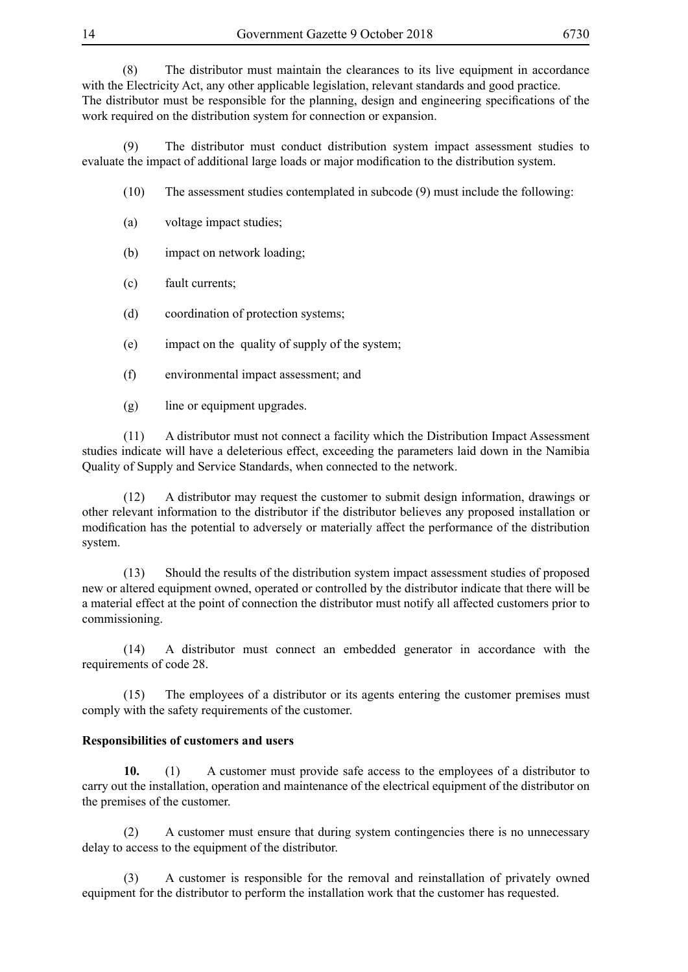(8) The distributor must maintain the clearances to its live equipment in accordance with the Electricity Act, any other applicable legislation, relevant standards and good practice.

The distributor must be responsible for the planning, design and engineering specifications of the work required on the distribution system for connection or expansion.

(9) The distributor must conduct distribution system impact assessment studies to evaluate the impact of additional large loads or major modification to the distribution system.

- (10) The assessment studies contemplated in subcode (9) must include the following:
- (a) voltage impact studies;
- (b) impact on network loading;
- (c) fault currents;
- (d) coordination of protection systems;
- (e) impact on the quality of supply of the system;
- (f) environmental impact assessment; and
- (g) line or equipment upgrades.

(11) A distributor must not connect a facility which the Distribution Impact Assessment studies indicate will have a deleterious effect, exceeding the parameters laid down in the Namibia Quality of Supply and Service Standards, when connected to the network.

(12) A distributor may request the customer to submit design information, drawings or other relevant information to the distributor if the distributor believes any proposed installation or modification has the potential to adversely or materially affect the performance of the distribution system.

(13) Should the results of the distribution system impact assessment studies of proposed new or altered equipment owned, operated or controlled by the distributor indicate that there will be a material effect at the point of connection the distributor must notify all affected customers prior to commissioning.

(14) A distributor must connect an embedded generator in accordance with the requirements of code 28.

(15) The employees of a distributor or its agents entering the customer premises must comply with the safety requirements of the customer.

# **Responsibilities of customers and users**

**10.** (1) A customer must provide safe access to the employees of a distributor to carry out the installation, operation and maintenance of the electrical equipment of the distributor on the premises of the customer.

(2) A customer must ensure that during system contingencies there is no unnecessary delay to access to the equipment of the distributor.

(3) A customer is responsible for the removal and reinstallation of privately owned equipment for the distributor to perform the installation work that the customer has requested.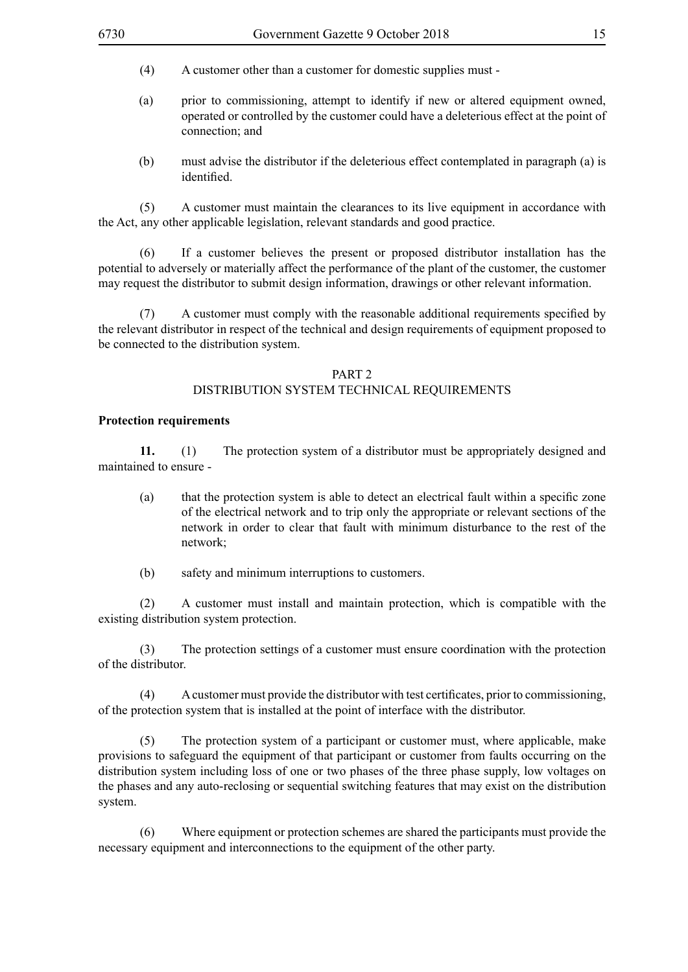- (4) A customer other than a customer for domestic supplies must -
- (a) prior to commissioning, attempt to identify if new or altered equipment owned, operated or controlled by the customer could have a deleterious effect at the point of connection; and
- (b) must advise the distributor if the deleterious effect contemplated in paragraph (a) is identified.

(5) A customer must maintain the clearances to its live equipment in accordance with the Act, any other applicable legislation, relevant standards and good practice.

(6) If a customer believes the present or proposed distributor installation has the potential to adversely or materially affect the performance of the plant of the customer, the customer may request the distributor to submit design information, drawings or other relevant information.

 (7) A customer must comply with the reasonable additional requirements specified by the relevant distributor in respect of the technical and design requirements of equipment proposed to be connected to the distribution system.

#### PART 2 DISTRIBUTION SYSTEM TECHNICAL REQUIREMENTS

#### **Protection requirements**

**11.** (1) The protection system of a distributor must be appropriately designed and maintained to ensure -

- (a) that the protection system is able to detect an electrical fault within a specific zone of the electrical network and to trip only the appropriate or relevant sections of the network in order to clear that fault with minimum disturbance to the rest of the network;
- (b) safety and minimum interruptions to customers.

(2) A customer must install and maintain protection, which is compatible with the existing distribution system protection.

(3) The protection settings of a customer must ensure coordination with the protection of the distributor.

 (4) Acustomer must provide the distributor with test certificates, prior to commissioning, of the protection system that is installed at the point of interface with the distributor.

(5) The protection system of a participant or customer must, where applicable, make provisions to safeguard the equipment of that participant or customer from faults occurring on the distribution system including loss of one or two phases of the three phase supply, low voltages on the phases and any auto-reclosing or sequential switching features that may exist on the distribution system.

(6) Where equipment or protection schemes are shared the participants must provide the necessary equipment and interconnections to the equipment of the other party.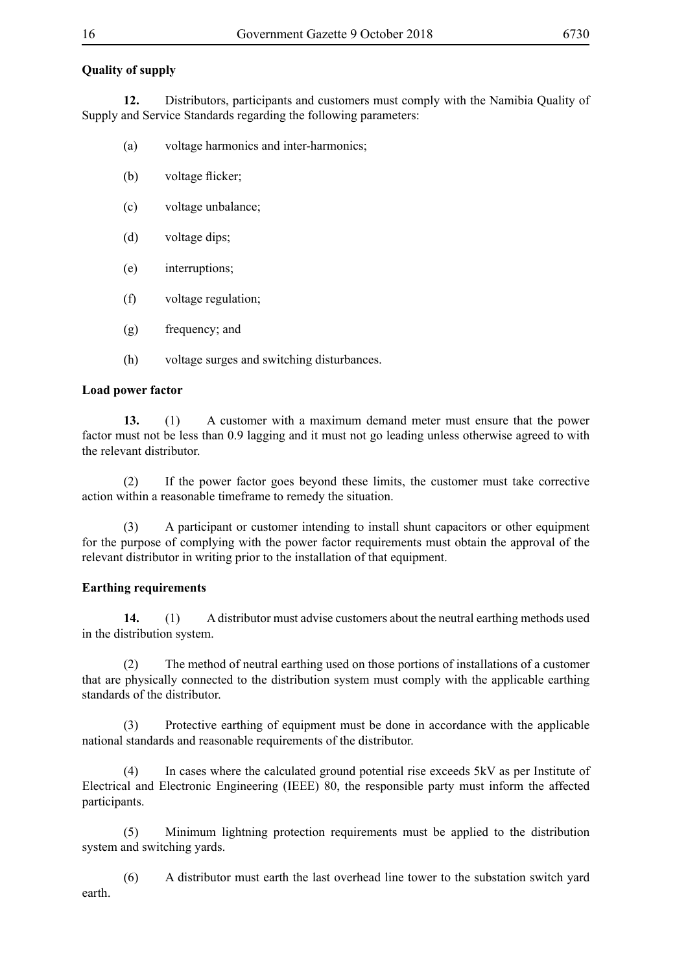# **Quality of supply**

**12.** Distributors, participants and customers must comply with the Namibia Quality of Supply and Service Standards regarding the following parameters:

- (a) voltage harmonics and inter-harmonics;
- (b) voltage flicker;
- (c) voltage unbalance;
- (d) voltage dips;
- (e) interruptions;
- (f) voltage regulation;
- (g) frequency; and
- (h) voltage surges and switching disturbances.

#### **Load power factor**

**13.** (1) A customer with a maximum demand meter must ensure that the power factor must not be less than 0.9 lagging and it must not go leading unless otherwise agreed to with the relevant distributor.

(2) If the power factor goes beyond these limits, the customer must take corrective action within a reasonable timeframe to remedy the situation.

(3) A participant or customer intending to install shunt capacitors or other equipment for the purpose of complying with the power factor requirements must obtain the approval of the relevant distributor in writing prior to the installation of that equipment.

#### **Earthing requirements**

**14.** (1) A distributor must advise customers about the neutral earthing methods used in the distribution system.

(2) The method of neutral earthing used on those portions of installations of a customer that are physically connected to the distribution system must comply with the applicable earthing standards of the distributor.

(3) Protective earthing of equipment must be done in accordance with the applicable national standards and reasonable requirements of the distributor.

(4) In cases where the calculated ground potential rise exceeds 5kV as per Institute of Electrical and Electronic Engineering (IEEE) 80, the responsible party must inform the affected participants.

(5) Minimum lightning protection requirements must be applied to the distribution system and switching yards.

(6) A distributor must earth the last overhead line tower to the substation switch yard earth.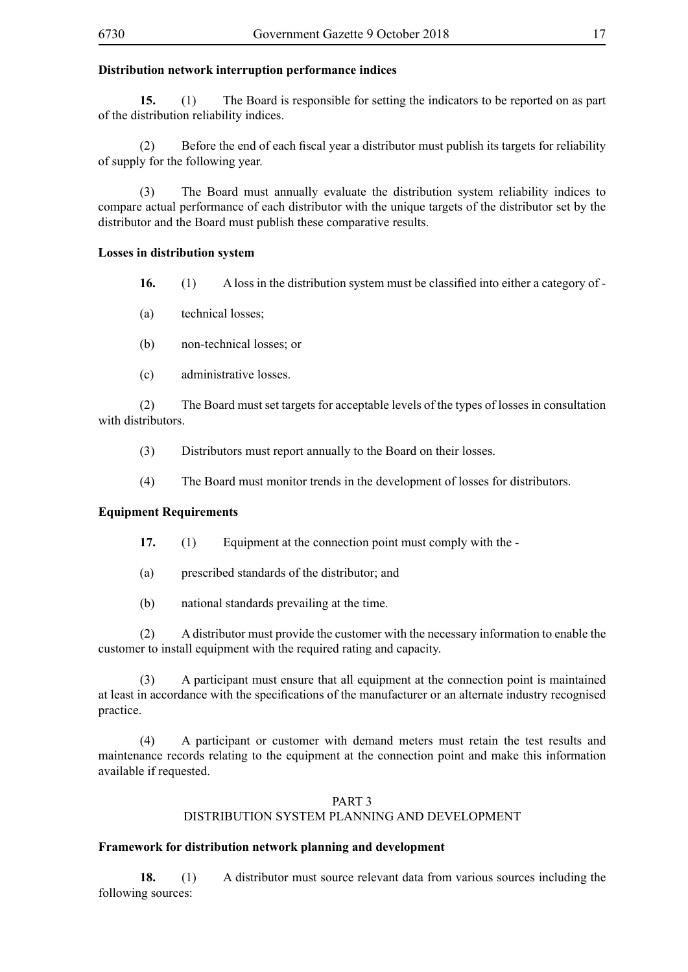#### **Distribution network interruption performance indices**

**15.** (1) The Board is responsible for setting the indicators to be reported on as part of the distribution reliability indices.

(2) Before the end of each fiscal year a distributor must publish its targets for reliability of supply for the following year.

(3) The Board must annually evaluate the distribution system reliability indices to compare actual performance of each distributor with the unique targets of the distributor set by the distributor and the Board must publish these comparative results.

#### **Losses in distribution system**

**16.** (1) A loss in the distribution system must be classified into either a category of -

(a) technical losses;

- (b) non-technical losses; or
- (c) administrative losses.

(2) The Board must set targets for acceptable levels of the types of losses in consultation with distributors.

- (3) Distributors must report annually to the Board on their losses.
- (4) The Board must monitor trends in the development of losses for distributors.

#### **Equipment Requirements**

- **17.** (1) Equipment at the connection point must comply with the -
- (a) prescribed standards of the distributor; and
- (b) national standards prevailing at the time.

(2) A distributor must provide the customer with the necessary information to enable the customer to install equipment with the required rating and capacity.

(3) A participant must ensure that all equipment at the connection point is maintained at least in accordance with the specifications of the manufacturer or an alternate industry recognised practice.

(4) A participant or customer with demand meters must retain the test results and maintenance records relating to the equipment at the connection point and make this information available if requested.

#### PART 3 DISTRIBUTION SYSTEM PLANNING AND DEVELOPMENT

#### **Framework for distribution network planning and development**

**18.** (1) A distributor must source relevant data from various sources including the following sources: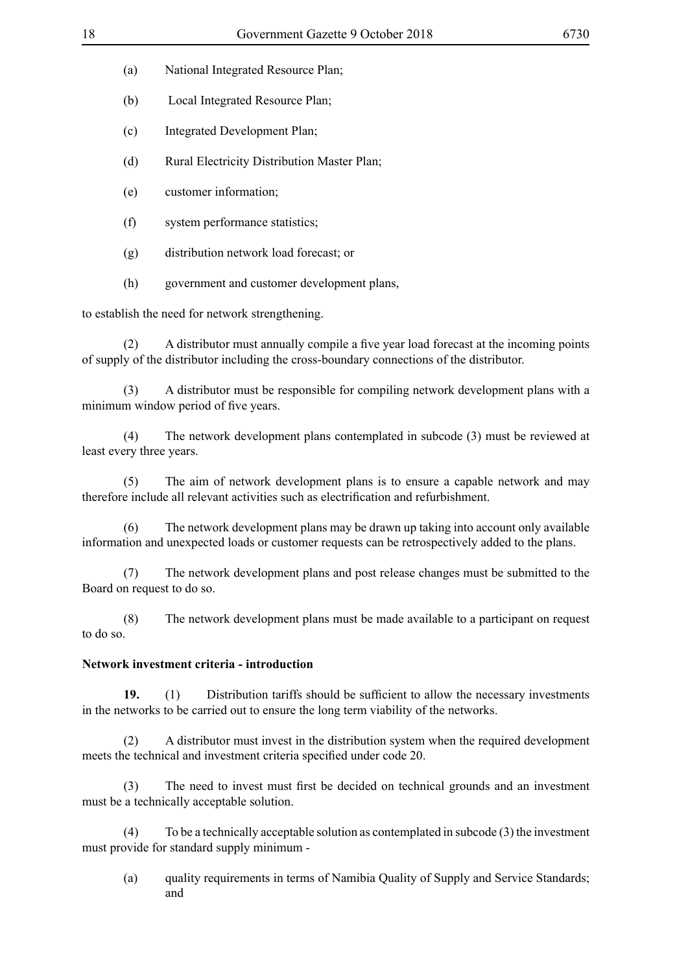- (a) National Integrated Resource Plan;
- (b) Local Integrated Resource Plan;
- (c) Integrated Development Plan;
- (d) Rural Electricity Distribution Master Plan;
- (e) customer information;
- (f) system performance statistics;
- (g) distribution network load forecast; or
- (h) government and customer development plans,

to establish the need for network strengthening.

 (2) A distributor must annually compile a five year load forecast at the incoming points of supply of the distributor including the cross-boundary connections of the distributor.

(3) A distributor must be responsible for compiling network development plans with a minimum window period of five years.

(4) The network development plans contemplated in subcode (3) must be reviewed at least every three years.

(5) The aim of network development plans is to ensure a capable network and may therefore include all relevant activities such as electrification and refurbishment.

(6) The network development plans may be drawn up taking into account only available information and unexpected loads or customer requests can be retrospectively added to the plans.

(7) The network development plans and post release changes must be submitted to the Board on request to do so.

(8) The network development plans must be made available to a participant on request to do so.

# **Network investment criteria - introduction**

**19.** (1) Distribution tariffs should be sufficient to allow the necessary investments in the networks to be carried out to ensure the long term viability of the networks.

(2) A distributor must invest in the distribution system when the required development meets the technical and investment criteria specified under code 20.

 (3) The need to invest must first be decided on technical grounds and an investment must be a technically acceptable solution.

(4) To be a technically acceptable solution as contemplated in subcode (3) the investment must provide for standard supply minimum -

(a) quality requirements in terms of Namibia Quality of Supply and Service Standards; and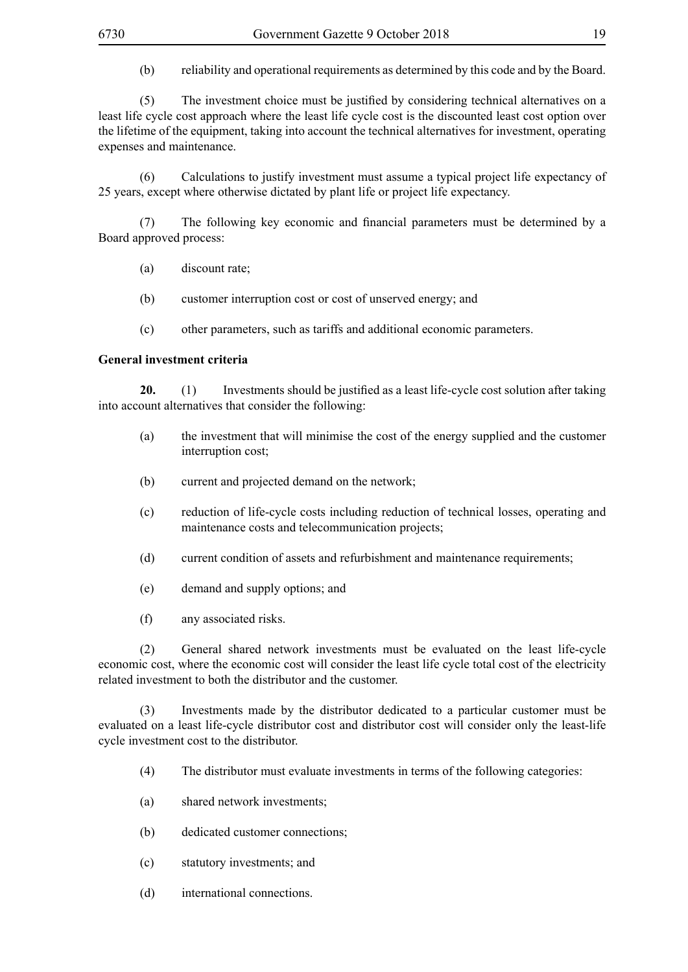(b) reliability and operational requirements as determined by this code and by the Board.

 (5) The investment choice must be justified by considering technical alternatives on a least life cycle cost approach where the least life cycle cost is the discounted least cost option over the lifetime of the equipment, taking into account the technical alternatives for investment, operating expenses and maintenance.

(6) Calculations to justify investment must assume a typical project life expectancy of 25 years, except where otherwise dictated by plant life or project life expectancy.

 (7) The following key economic and financial parameters must be determined by a Board approved process:

- (a) discount rate;
- (b) customer interruption cost or cost of unserved energy; and
- (c) other parameters, such as tariffs and additional economic parameters.

#### **General investment criteria**

**20.** (1) Investments should be justified as a least life-cycle cost solution after taking into account alternatives that consider the following:

- (a) the investment that will minimise the cost of the energy supplied and the customer interruption cost;
- (b) current and projected demand on the network;
- (c) reduction of life-cycle costs including reduction of technical losses, operating and maintenance costs and telecommunication projects;
- (d) current condition of assets and refurbishment and maintenance requirements;
- (e) demand and supply options; and
- (f) any associated risks.

(2) General shared network investments must be evaluated on the least life-cycle economic cost, where the economic cost will consider the least life cycle total cost of the electricity related investment to both the distributor and the customer.

(3) Investments made by the distributor dedicated to a particular customer must be evaluated on a least life-cycle distributor cost and distributor cost will consider only the least-life cycle investment cost to the distributor.

- (4) The distributor must evaluate investments in terms of the following categories:
- (a) shared network investments;
- (b) dedicated customer connections;
- (c) statutory investments; and
- (d) international connections.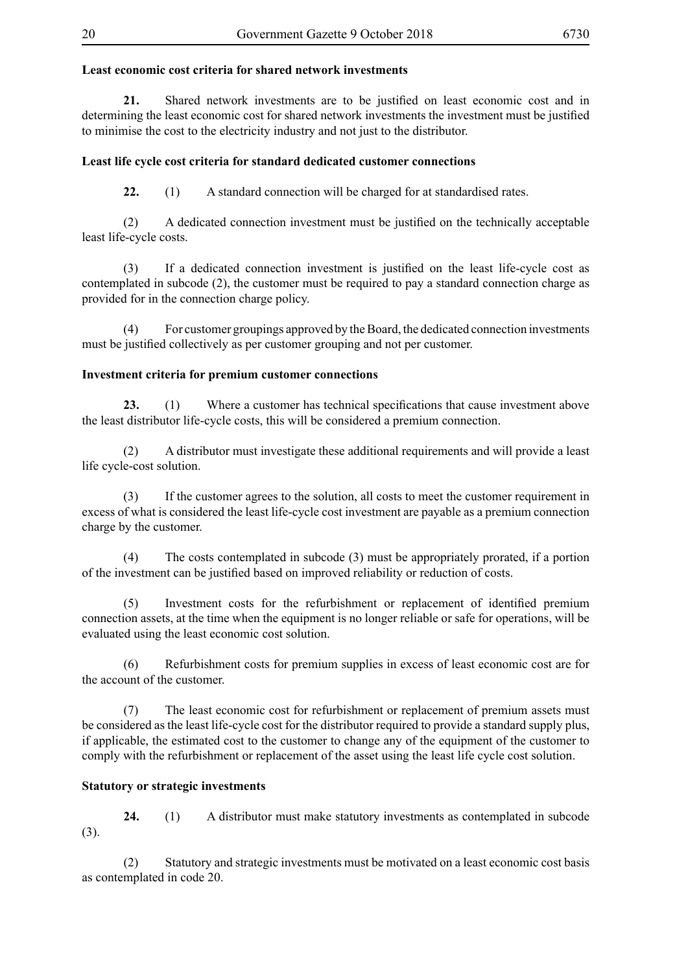# **Least economic cost criteria for shared network investments**

**21.** Shared network investments are to be justified on least economic cost and in determining the least economic cost for shared network investments the investment must be justified to minimise the cost to the electricity industry and not just to the distributor.

#### **Least life cycle cost criteria for standard dedicated customer connections**

**22.** (1) A standard connection will be charged for at standardised rates.

 (2) A dedicated connection investment must be justified on the technically acceptable least life-cycle costs.

 (3) If a dedicated connection investment is justified on the least life-cycle cost as contemplated in subcode (2), the customer must be required to pay a standard connection charge as provided for in the connection charge policy.

(4) For customer groupings approved by the Board, the dedicated connection investments must be justified collectively as per customer grouping and not per customer.

#### **Investment criteria for premium customer connections**

**23.** (1) Where a customer has technical specifications that cause investment above the least distributor life-cycle costs, this will be considered a premium connection.

(2) A distributor must investigate these additional requirements and will provide a least life cycle-cost solution.

(3) If the customer agrees to the solution, all costs to meet the customer requirement in excess of what is considered the least life-cycle cost investment are payable as a premium connection charge by the customer.

(4) The costs contemplated in subcode (3) must be appropriately prorated, if a portion of the investment can be justified based on improved reliability or reduction of costs.

 (5) Investment costs for the refurbishment or replacement of identified premium connection assets, at the time when the equipment is no longer reliable or safe for operations, will be evaluated using the least economic cost solution.

(6) Refurbishment costs for premium supplies in excess of least economic cost are for the account of the customer.

(7) The least economic cost for refurbishment or replacement of premium assets must be considered as the least life-cycle cost for the distributor required to provide a standard supply plus, if applicable, the estimated cost to the customer to change any of the equipment of the customer to comply with the refurbishment or replacement of the asset using the least life cycle cost solution.

#### **Statutory or strategic investments**

**24.** (1) A distributor must make statutory investments as contemplated in subcode (3).

(2) Statutory and strategic investments must be motivated on a least economic cost basis as contemplated in code 20.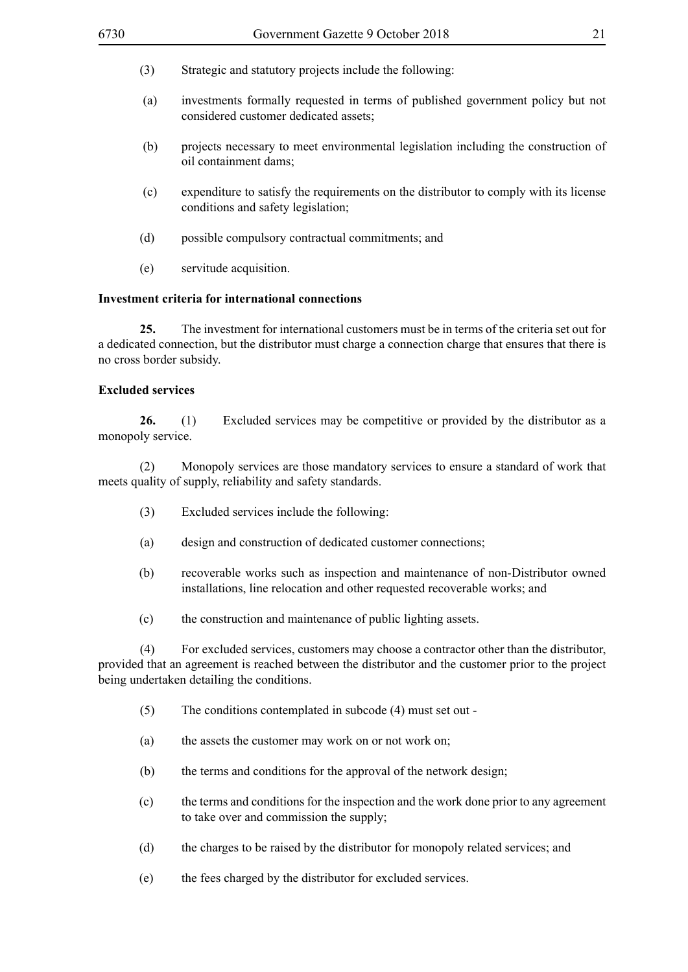- (3) Strategic and statutory projects include the following:
- (a) investments formally requested in terms of published government policy but not considered customer dedicated assets;
- (b) projects necessary to meet environmental legislation including the construction of oil containment dams;
- (c) expenditure to satisfy the requirements on the distributor to comply with its license conditions and safety legislation;
- (d) possible compulsory contractual commitments; and
- (e) servitude acquisition.

#### **Investment criteria for international connections**

**25.** The investment for international customers must be in terms of the criteria set out for a dedicated connection, but the distributor must charge a connection charge that ensures that there is no cross border subsidy.

#### **Excluded services**

**26.** (1) Excluded services may be competitive or provided by the distributor as a monopoly service.

(2) Monopoly services are those mandatory services to ensure a standard of work that meets quality of supply, reliability and safety standards.

- (3) Excluded services include the following:
- (a) design and construction of dedicated customer connections;
- (b) recoverable works such as inspection and maintenance of non-Distributor owned installations, line relocation and other requested recoverable works; and
- (c) the construction and maintenance of public lighting assets.

(4) For excluded services, customers may choose a contractor other than the distributor, provided that an agreement is reached between the distributor and the customer prior to the project being undertaken detailing the conditions.

- (5) The conditions contemplated in subcode (4) must set out -
- (a) the assets the customer may work on or not work on;
- (b) the terms and conditions for the approval of the network design;
- (c) the terms and conditions for the inspection and the work done prior to any agreement to take over and commission the supply;
- (d) the charges to be raised by the distributor for monopoly related services; and
- (e) the fees charged by the distributor for excluded services.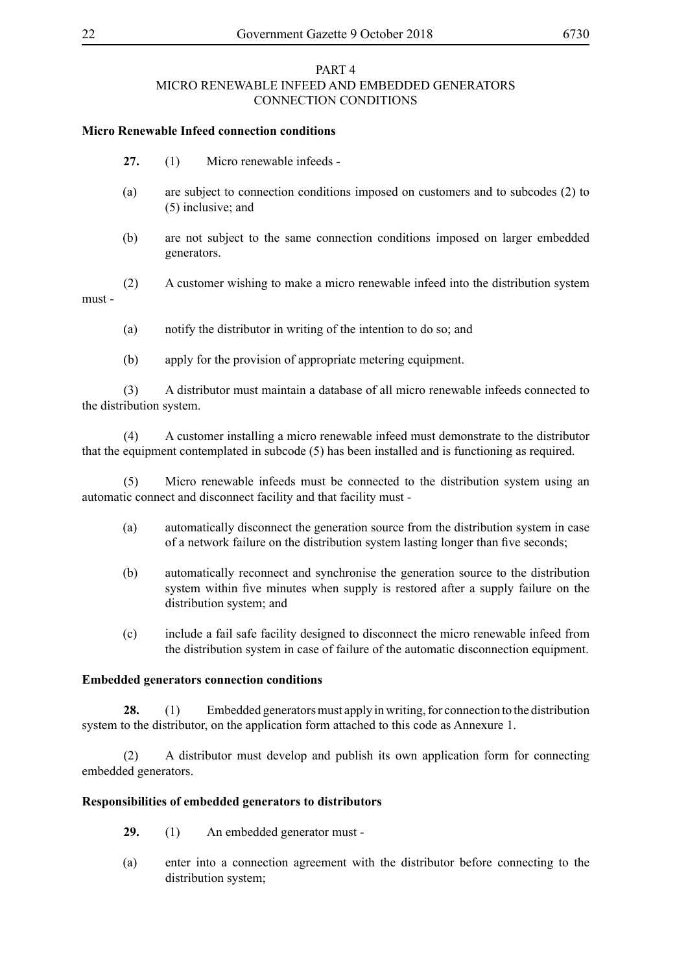## PART 4 MICRO RENEWABLE INFEED AND EMBEDDED GENERATORS CONNECTION CONDITIONS

## **Micro Renewable Infeed connection conditions**

- **27.** (1) Micro renewable infeeds -
- (a) are subject to connection conditions imposed on customers and to subcodes (2) to (5) inclusive; and
- (b) are not subject to the same connection conditions imposed on larger embedded generators.

(2) A customer wishing to make a micro renewable infeed into the distribution system must -

- (a) notify the distributor in writing of the intention to do so; and
- (b) apply for the provision of appropriate metering equipment.

(3) A distributor must maintain a database of all micro renewable infeeds connected to the distribution system.

(4) A customer installing a micro renewable infeed must demonstrate to the distributor that the equipment contemplated in subcode (5) has been installed and is functioning as required.

(5) Micro renewable infeeds must be connected to the distribution system using an automatic connect and disconnect facility and that facility must -

- (a) automatically disconnect the generation source from the distribution system in case of a network failure on the distribution system lasting longer than five seconds;
- (b) automatically reconnect and synchronise the generation source to the distribution system within five minutes when supply is restored after a supply failure on the distribution system; and
- (c) include a fail safe facility designed to disconnect the micro renewable infeed from the distribution system in case of failure of the automatic disconnection equipment.

#### **Embedded generators connection conditions**

**28.** (1) Embedded generators must apply in writing, for connection to the distribution system to the distributor, on the application form attached to this code as Annexure 1.

(2) A distributor must develop and publish its own application form for connecting embedded generators.

#### **Responsibilities of embedded generators to distributors**

- **29.** (1) An embedded generator must -
- (a) enter into a connection agreement with the distributor before connecting to the distribution system;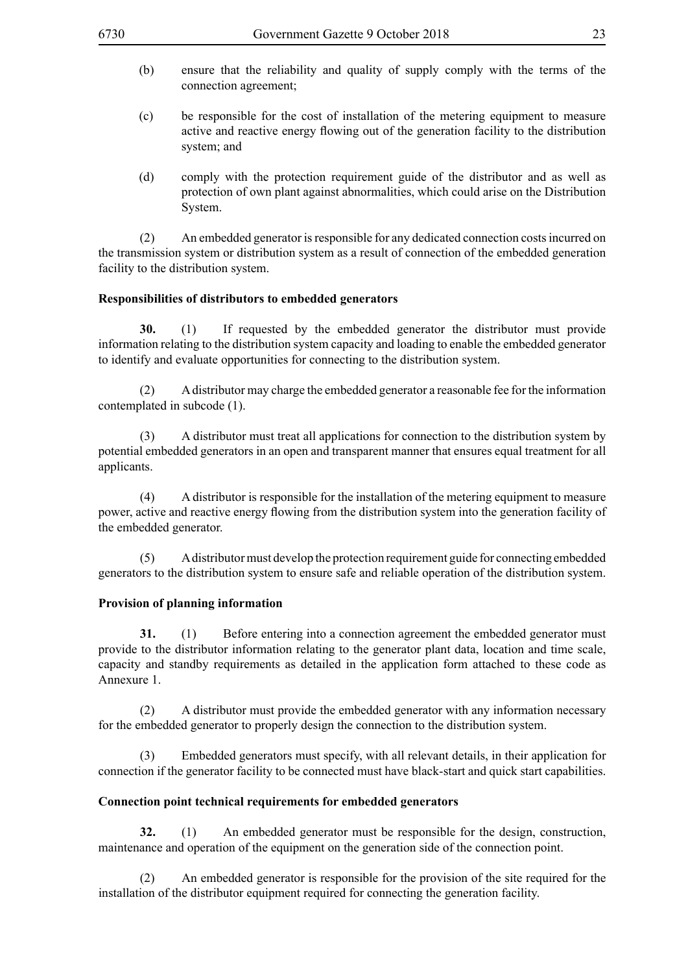- (b) ensure that the reliability and quality of supply comply with the terms of the connection agreement;
- (c) be responsible for the cost of installation of the metering equipment to measure active and reactive energy flowing out of the generation facility to the distribution system; and
- (d) comply with the protection requirement guide of the distributor and as well as protection of own plant against abnormalities, which could arise on the Distribution System.

(2) An embedded generator is responsible for any dedicated connection costs incurred on the transmission system or distribution system as a result of connection of the embedded generation facility to the distribution system.

#### **Responsibilities of distributors to embedded generators**

**30.** (1) If requested by the embedded generator the distributor must provide information relating to the distribution system capacity and loading to enable the embedded generator to identify and evaluate opportunities for connecting to the distribution system.

(2) A distributor may charge the embedded generator a reasonable fee for the information contemplated in subcode (1).

(3) A distributor must treat all applications for connection to the distribution system by potential embedded generators in an open and transparent manner that ensures equal treatment for all applicants.

(4) A distributor is responsible for the installation of the metering equipment to measure power, active and reactive energy flowing from the distribution system into the generation facility of the embedded generator.

(5) A distributor must develop the protection requirement guide for connecting embedded generators to the distribution system to ensure safe and reliable operation of the distribution system.

#### **Provision of planning information**

**31.** (1) Before entering into a connection agreement the embedded generator must provide to the distributor information relating to the generator plant data, location and time scale, capacity and standby requirements as detailed in the application form attached to these code as Annexure 1.

(2) A distributor must provide the embedded generator with any information necessary for the embedded generator to properly design the connection to the distribution system.

(3) Embedded generators must specify, with all relevant details, in their application for connection if the generator facility to be connected must have black-start and quick start capabilities.

#### **Connection point technical requirements for embedded generators**

**32.** (1) An embedded generator must be responsible for the design, construction, maintenance and operation of the equipment on the generation side of the connection point.

(2) An embedded generator is responsible for the provision of the site required for the installation of the distributor equipment required for connecting the generation facility.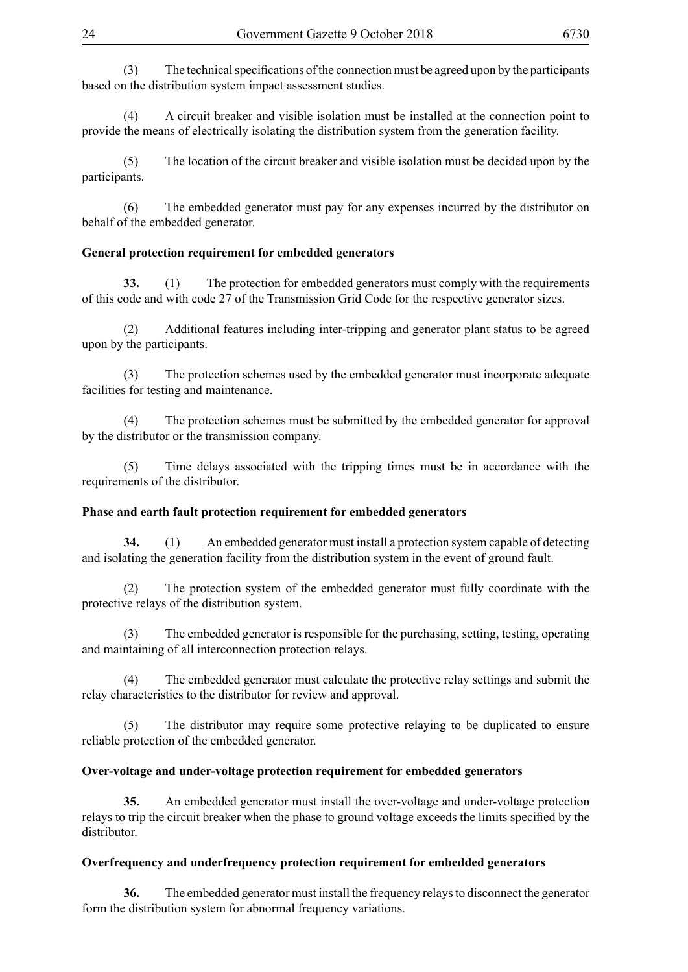(3) The technical specifications of the connection must be agreed upon by the participants based on the distribution system impact assessment studies.

(4) A circuit breaker and visible isolation must be installed at the connection point to provide the means of electrically isolating the distribution system from the generation facility.

(5) The location of the circuit breaker and visible isolation must be decided upon by the participants.

(6) The embedded generator must pay for any expenses incurred by the distributor on behalf of the embedded generator.

#### **General protection requirement for embedded generators**

**33.** (1) The protection for embedded generators must comply with the requirements of this code and with code 27 of the Transmission Grid Code for the respective generator sizes.

(2) Additional features including inter-tripping and generator plant status to be agreed upon by the participants.

(3) The protection schemes used by the embedded generator must incorporate adequate facilities for testing and maintenance.

(4) The protection schemes must be submitted by the embedded generator for approval by the distributor or the transmission company.

(5) Time delays associated with the tripping times must be in accordance with the requirements of the distributor.

#### **Phase and earth fault protection requirement for embedded generators**

**34.** (1) An embedded generator must install a protection system capable of detecting and isolating the generation facility from the distribution system in the event of ground fault.

(2) The protection system of the embedded generator must fully coordinate with the protective relays of the distribution system.

(3) The embedded generator is responsible for the purchasing, setting, testing, operating and maintaining of all interconnection protection relays.

(4) The embedded generator must calculate the protective relay settings and submit the relay characteristics to the distributor for review and approval.

(5) The distributor may require some protective relaying to be duplicated to ensure reliable protection of the embedded generator.

#### **Over-voltage and under-voltage protection requirement for embedded generators**

**35.** An embedded generator must install the over-voltage and under-voltage protection relays to trip the circuit breaker when the phase to ground voltage exceeds the limits specified by the distributor.

#### **Overfrequency and underfrequency protection requirement for embedded generators**

**36.** The embedded generator must install the frequency relays to disconnect the generator form the distribution system for abnormal frequency variations.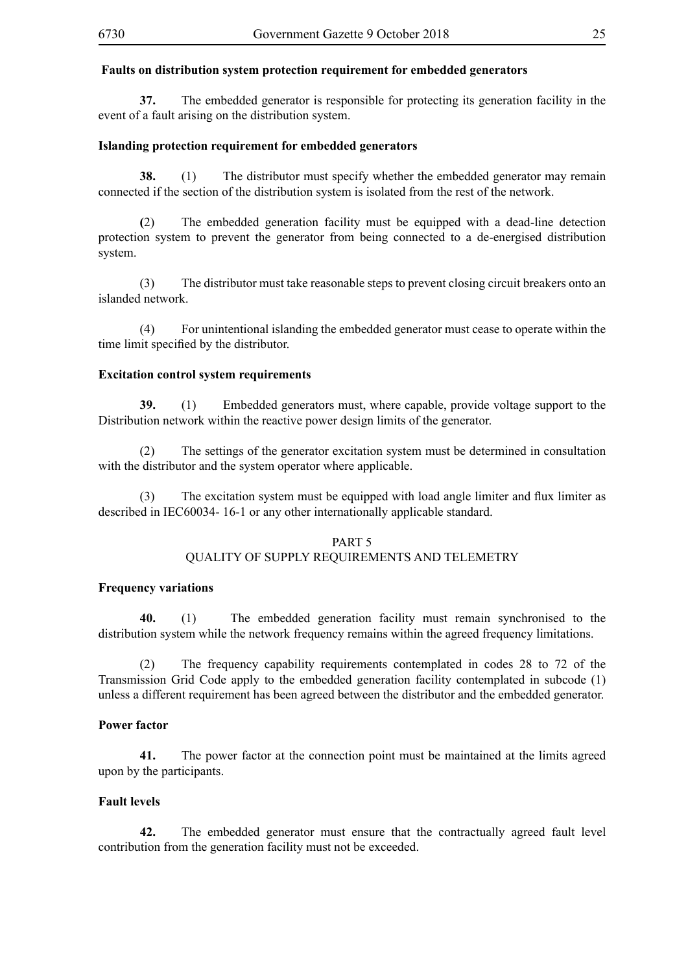#### **Faults on distribution system protection requirement for embedded generators**

**37.** The embedded generator is responsible for protecting its generation facility in the event of a fault arising on the distribution system.

#### **Islanding protection requirement for embedded generators**

**38.** (1) The distributor must specify whether the embedded generator may remain connected if the section of the distribution system is isolated from the rest of the network.

**(**2) The embedded generation facility must be equipped with a dead-line detection protection system to prevent the generator from being connected to a de-energised distribution system.

(3) The distributor must take reasonable steps to prevent closing circuit breakers onto an islanded network.

(4) For unintentional islanding the embedded generator must cease to operate within the time limit specified by the distributor.

#### **Excitation control system requirements**

**39.** (1) Embedded generators must, where capable, provide voltage support to the Distribution network within the reactive power design limits of the generator.

(2) The settings of the generator excitation system must be determined in consultation with the distributor and the system operator where applicable.

 (3) The excitation system must be equipped with load angle limiter and flux limiter as described in IEC60034- 16-1 or any other internationally applicable standard.

# PART 5

#### QUALITY OF SUPPLY REQUIREMENTS AND TELEMETRY

#### **Frequency variations**

**40.** (1) The embedded generation facility must remain synchronised to the distribution system while the network frequency remains within the agreed frequency limitations.

(2) The frequency capability requirements contemplated in codes 28 to 72 of the Transmission Grid Code apply to the embedded generation facility contemplated in subcode (1) unless a different requirement has been agreed between the distributor and the embedded generator.

#### **Power factor**

**41.** The power factor at the connection point must be maintained at the limits agreed upon by the participants.

#### **Fault levels**

**42.** The embedded generator must ensure that the contractually agreed fault level contribution from the generation facility must not be exceeded.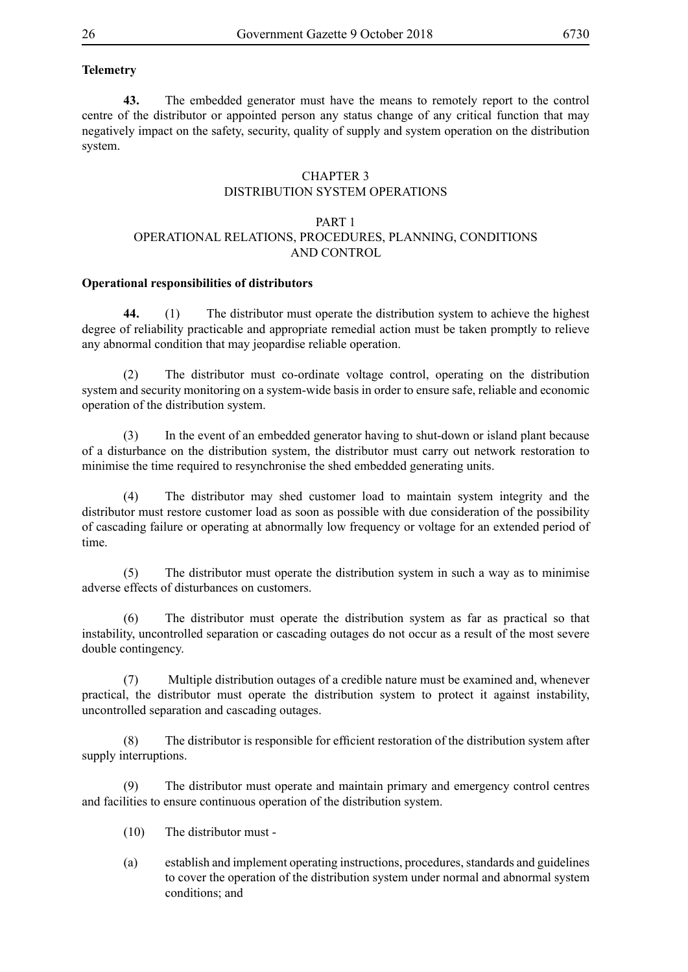# **Telemetry**

**43.** The embedded generator must have the means to remotely report to the control centre of the distributor or appointed person any status change of any critical function that may negatively impact on the safety, security, quality of supply and system operation on the distribution system.

#### CHAPTER 3 DISTRIBUTION SYSTEM OPERATIONS

#### PART 1 OPERATIONAL RELATIONS, PROCEDURES, PLANNING, CONDITIONS AND CONTROL

#### **Operational responsibilities of distributors**

**44.** (1) The distributor must operate the distribution system to achieve the highest degree of reliability practicable and appropriate remedial action must be taken promptly to relieve any abnormal condition that may jeopardise reliable operation.

(2) The distributor must co-ordinate voltage control, operating on the distribution system and security monitoring on a system-wide basis in order to ensure safe, reliable and economic operation of the distribution system.

(3) In the event of an embedded generator having to shut-down or island plant because of a disturbance on the distribution system, the distributor must carry out network restoration to minimise the time required to resynchronise the shed embedded generating units.

(4) The distributor may shed customer load to maintain system integrity and the distributor must restore customer load as soon as possible with due consideration of the possibility of cascading failure or operating at abnormally low frequency or voltage for an extended period of time.

(5) The distributor must operate the distribution system in such a way as to minimise adverse effects of disturbances on customers.

(6) The distributor must operate the distribution system as far as practical so that instability, uncontrolled separation or cascading outages do not occur as a result of the most severe double contingency.

(7) Multiple distribution outages of a credible nature must be examined and, whenever practical, the distributor must operate the distribution system to protect it against instability, uncontrolled separation and cascading outages.

(8) The distributor is responsible for efficient restoration of the distribution system after supply interruptions.

(9) The distributor must operate and maintain primary and emergency control centres and facilities to ensure continuous operation of the distribution system.

- (10) The distributor must -
- (a) establish and implement operating instructions, procedures, standards and guidelines to cover the operation of the distribution system under normal and abnormal system conditions; and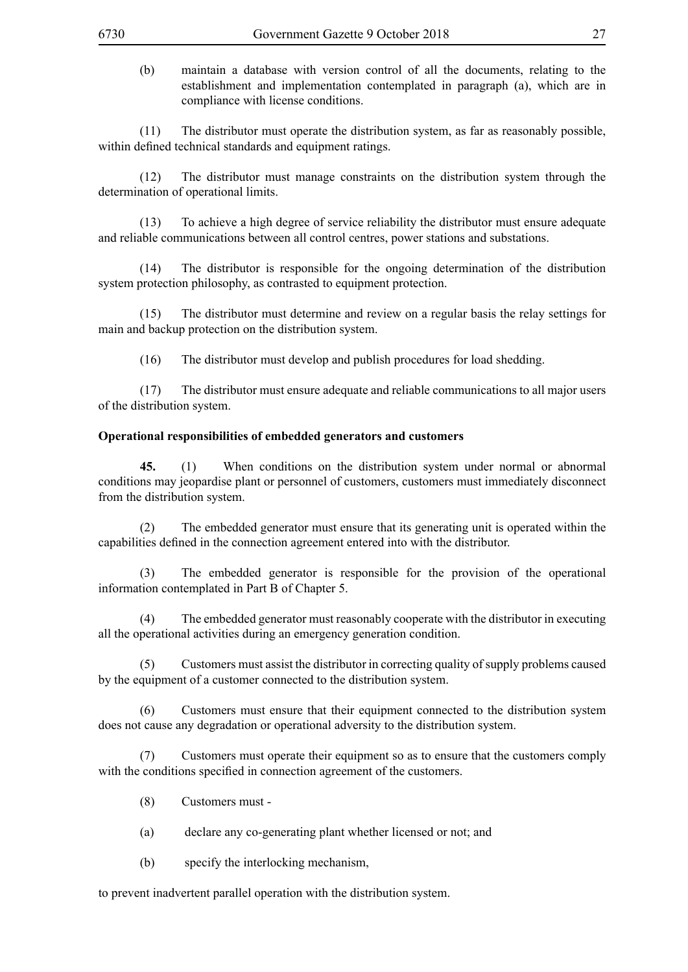(b) maintain a database with version control of all the documents, relating to the establishment and implementation contemplated in paragraph (a), which are in compliance with license conditions.

(11) The distributor must operate the distribution system, as far as reasonably possible, within defined technical standards and equipment ratings.

(12) The distributor must manage constraints on the distribution system through the determination of operational limits.

(13) To achieve a high degree of service reliability the distributor must ensure adequate and reliable communications between all control centres, power stations and substations.

(14) The distributor is responsible for the ongoing determination of the distribution system protection philosophy, as contrasted to equipment protection.

(15) The distributor must determine and review on a regular basis the relay settings for main and backup protection on the distribution system.

(16) The distributor must develop and publish procedures for load shedding.

(17) The distributor must ensure adequate and reliable communications to all major users of the distribution system.

#### **Operational responsibilities of embedded generators and customers**

**45.** (1) When conditions on the distribution system under normal or abnormal conditions may jeopardise plant or personnel of customers, customers must immediately disconnect from the distribution system.

(2) The embedded generator must ensure that its generating unit is operated within the capabilities defined in the connection agreement entered into with the distributor.

(3) The embedded generator is responsible for the provision of the operational information contemplated in Part B of Chapter 5.

The embedded generator must reasonably cooperate with the distributor in executing all the operational activities during an emergency generation condition.

(5) Customers must assist the distributor in correcting quality of supply problems caused by the equipment of a customer connected to the distribution system.

(6) Customers must ensure that their equipment connected to the distribution system does not cause any degradation or operational adversity to the distribution system.

(7) Customers must operate their equipment so as to ensure that the customers comply with the conditions specified in connection agreement of the customers.

- (8) Customers must -
- (a) declare any co-generating plant whether licensed or not; and
- (b) specify the interlocking mechanism,

to prevent inadvertent parallel operation with the distribution system.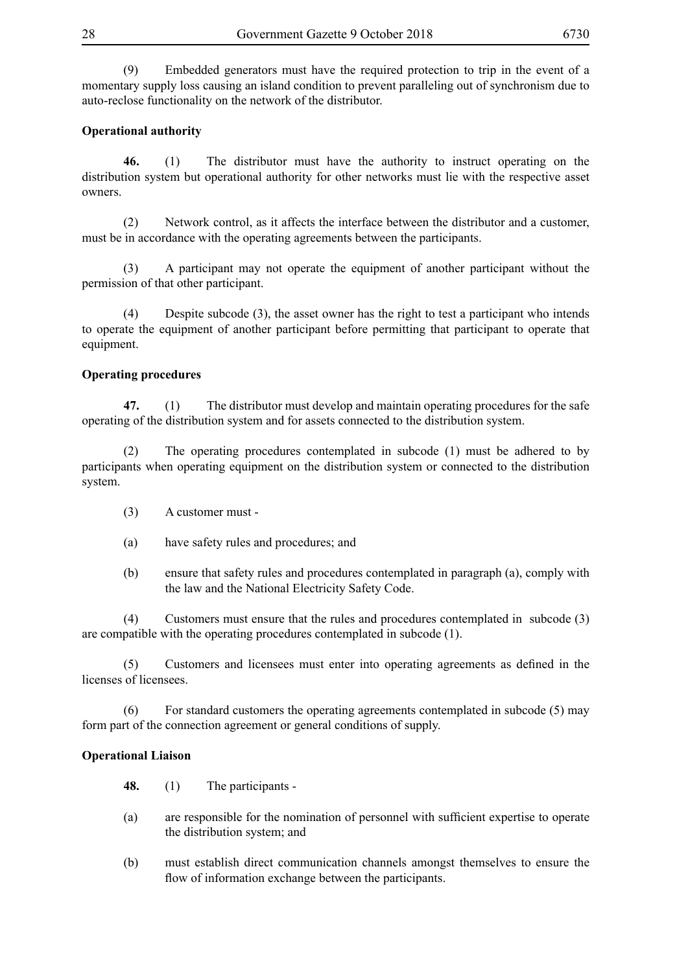(9) Embedded generators must have the required protection to trip in the event of a momentary supply loss causing an island condition to prevent paralleling out of synchronism due to auto-reclose functionality on the network of the distributor.

# **Operational authority**

**46.** (1) The distributor must have the authority to instruct operating on the distribution system but operational authority for other networks must lie with the respective asset owners.

(2) Network control, as it affects the interface between the distributor and a customer, must be in accordance with the operating agreements between the participants.

(3) A participant may not operate the equipment of another participant without the permission of that other participant.

(4) Despite subcode (3), the asset owner has the right to test a participant who intends to operate the equipment of another participant before permitting that participant to operate that equipment.

#### **Operating procedures**

**47.** (1) The distributor must develop and maintain operating procedures for the safe operating of the distribution system and for assets connected to the distribution system.

(2) The operating procedures contemplated in subcode (1) must be adhered to by participants when operating equipment on the distribution system or connected to the distribution system.

- (3) A customer must -
- (a) have safety rules and procedures; and
- (b) ensure that safety rules and procedures contemplated in paragraph (a), comply with the law and the National Electricity Safety Code.

(4) Customers must ensure that the rules and procedures contemplated in subcode (3) are compatible with the operating procedures contemplated in subcode (1).

(5) Customers and licensees must enter into operating agreements as defined in the licenses of licensees.

(6) For standard customers the operating agreements contemplated in subcode (5) may form part of the connection agreement or general conditions of supply.

#### **Operational Liaison**

**48.** (1) The participants -

- (a) are responsible for the nomination of personnel with sufficient expertise to operate the distribution system; and
- (b) must establish direct communication channels amongst themselves to ensure the flow of information exchange between the participants.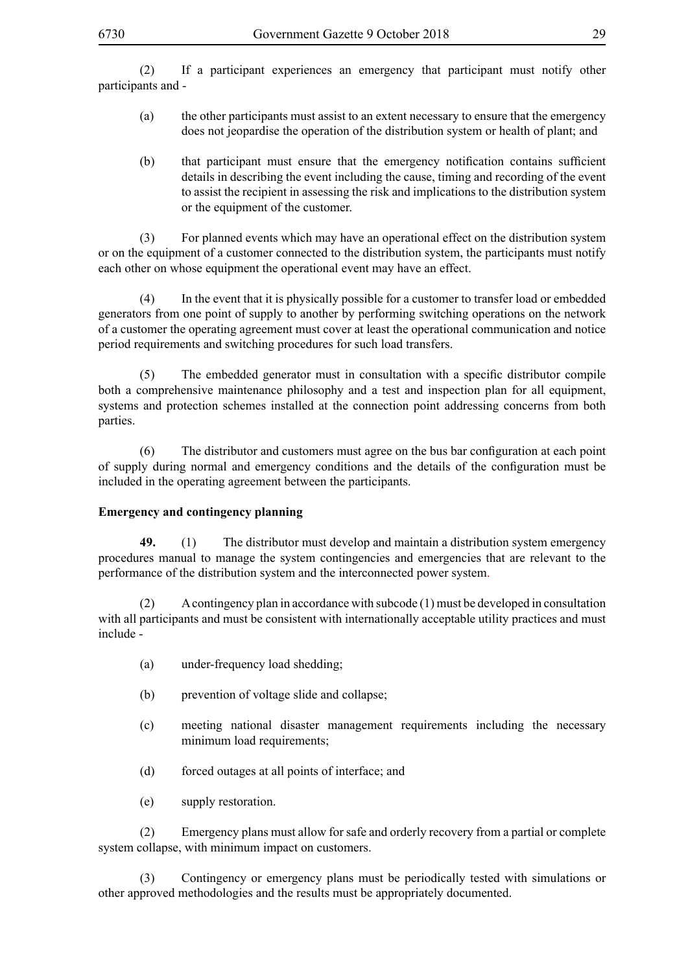(2) If a participant experiences an emergency that participant must notify other participants and -

- (a) the other participants must assist to an extent necessary to ensure that the emergency does not jeopardise the operation of the distribution system or health of plant; and
- (b) that participant must ensure that the emergency notification contains sufficient details in describing the event including the cause, timing and recording of the event to assist the recipient in assessing the risk and implications to the distribution system or the equipment of the customer.

(3) For planned events which may have an operational effect on the distribution system or on the equipment of a customer connected to the distribution system, the participants must notify each other on whose equipment the operational event may have an effect.

(4) In the event that it is physically possible for a customer to transfer load or embedded generators from one point of supply to another by performing switching operations on the network of a customer the operating agreement must cover at least the operational communication and notice period requirements and switching procedures for such load transfers.

(5) The embedded generator must in consultation with a specific distributor compile both a comprehensive maintenance philosophy and a test and inspection plan for all equipment, systems and protection schemes installed at the connection point addressing concerns from both parties.

(6) The distributor and customers must agree on the bus bar configuration at each point of supply during normal and emergency conditions and the details of the configuration must be included in the operating agreement between the participants.

# **Emergency and contingency planning**

**49.** (1) The distributor must develop and maintain a distribution system emergency procedures manual to manage the system contingencies and emergencies that are relevant to the performance of the distribution system and the interconnected power system.

(2) A contingency plan in accordance with subcode (1) must be developed in consultation with all participants and must be consistent with internationally acceptable utility practices and must include -

- (a) under-frequency load shedding;
- (b) prevention of voltage slide and collapse;
- (c) meeting national disaster management requirements including the necessary minimum load requirements;
- (d) forced outages at all points of interface; and
- (e) supply restoration.

(2) Emergency plans must allow for safe and orderly recovery from a partial or complete system collapse, with minimum impact on customers.

(3) Contingency or emergency plans must be periodically tested with simulations or other approved methodologies and the results must be appropriately documented.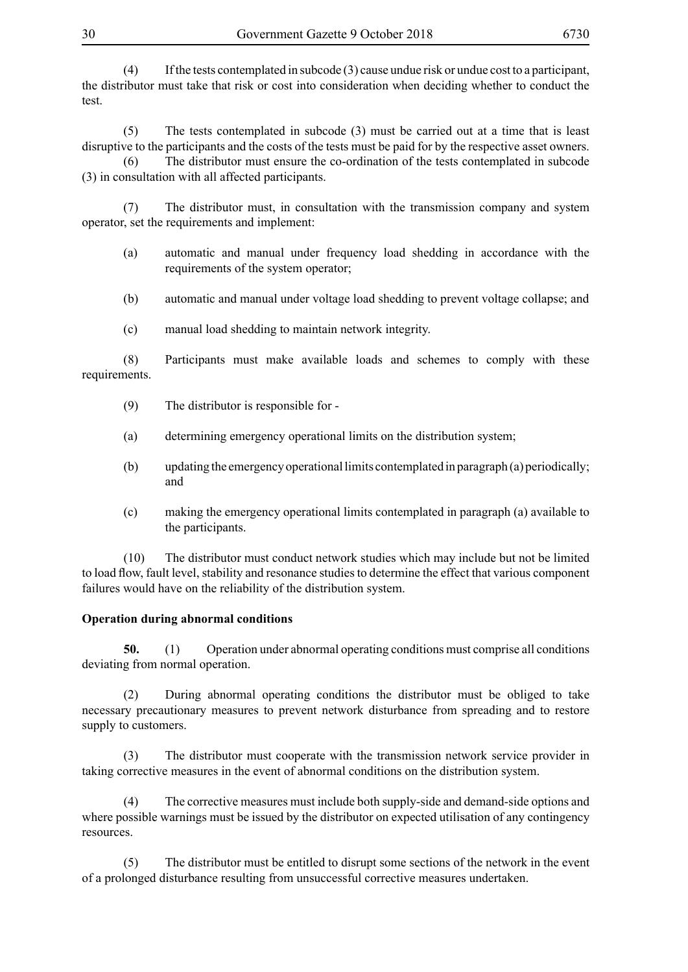30 Government Gazette 9 October 2018 6730

(4) If the tests contemplated in subcode (3) cause undue risk or undue cost to a participant, the distributor must take that risk or cost into consideration when deciding whether to conduct the test.

(5) The tests contemplated in subcode (3) must be carried out at a time that is least disruptive to the participants and the costs of the tests must be paid for by the respective asset owners. (6) The distributor must ensure the co-ordination of the tests contemplated in subcode

(3) in consultation with all affected participants.

(7) The distributor must, in consultation with the transmission company and system operator, set the requirements and implement:

- (a) automatic and manual under frequency load shedding in accordance with the requirements of the system operator;
- (b) automatic and manual under voltage load shedding to prevent voltage collapse; and
- (c) manual load shedding to maintain network integrity.

(8) Participants must make available loads and schemes to comply with these requirements.

- (9) The distributor is responsible for -
- (a) determining emergency operational limits on the distribution system;
- (b) updating the emergency operational limits contemplated in paragraph (a) periodically; and
- (c) making the emergency operational limits contemplated in paragraph (a) available to the participants.

(10) The distributor must conduct network studies which may include but not be limited to load flow, fault level, stability and resonance studies to determine the effect that various component failures would have on the reliability of the distribution system.

# **Operation during abnormal conditions**

**50.** (1) Operation under abnormal operating conditions must comprise all conditions deviating from normal operation.

(2) During abnormal operating conditions the distributor must be obliged to take necessary precautionary measures to prevent network disturbance from spreading and to restore supply to customers.

(3) The distributor must cooperate with the transmission network service provider in taking corrective measures in the event of abnormal conditions on the distribution system.

(4) The corrective measures must include both supply-side and demand-side options and where possible warnings must be issued by the distributor on expected utilisation of any contingency resources.

(5) The distributor must be entitled to disrupt some sections of the network in the event of a prolonged disturbance resulting from unsuccessful corrective measures undertaken.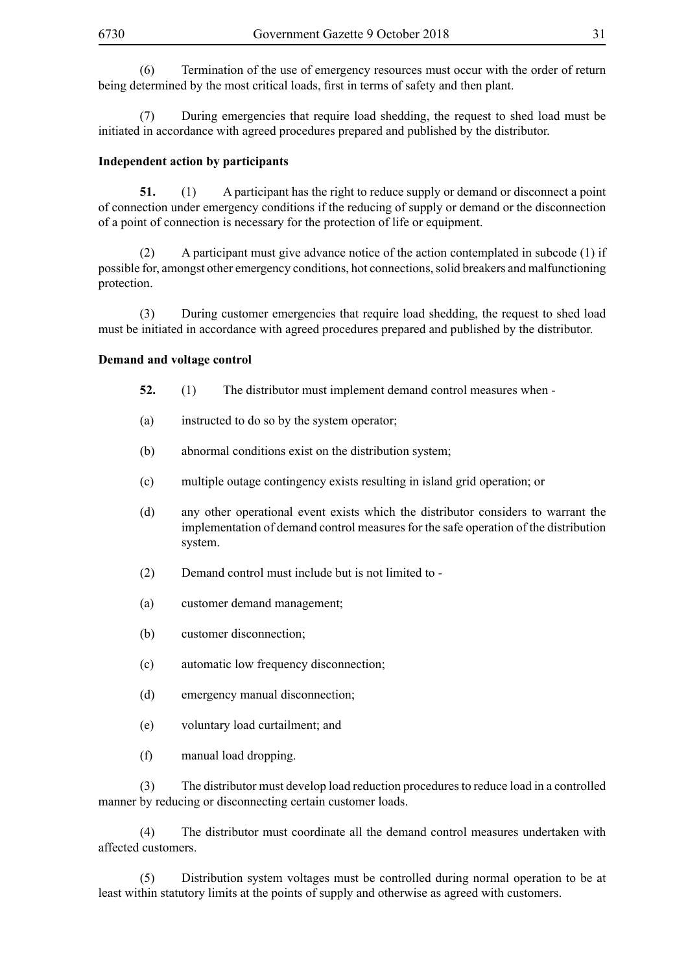(6) Termination of the use of emergency resources must occur with the order of return being determined by the most critical loads, first in terms of safety and then plant. 

(7) During emergencies that require load shedding, the request to shed load must be initiated in accordance with agreed procedures prepared and published by the distributor.

#### **Independent action by participants**

**51.** (1) A participant has the right to reduce supply or demand or disconnect a point of connection under emergency conditions if the reducing of supply or demand or the disconnection of a point of connection is necessary for the protection of life or equipment.

(2) A participant must give advance notice of the action contemplated in subcode (1) if possible for, amongst other emergency conditions, hot connections, solid breakers and malfunctioning protection.

(3) During customer emergencies that require load shedding, the request to shed load must be initiated in accordance with agreed procedures prepared and published by the distributor.

#### **Demand and voltage control**

- **52.** (1) The distributor must implement demand control measures when -
- (a) instructed to do so by the system operator;
- (b) abnormal conditions exist on the distribution system;
- (c) multiple outage contingency exists resulting in island grid operation; or
- (d) any other operational event exists which the distributor considers to warrant the implementation of demand control measures for the safe operation of the distribution system.
- (2) Demand control must include but is not limited to -
- (a) customer demand management;
- (b) customer disconnection;
- (c) automatic low frequency disconnection;
- (d) emergency manual disconnection;
- (e) voluntary load curtailment; and
- (f) manual load dropping.

(3) The distributor must develop load reduction procedures to reduce load in a controlled manner by reducing or disconnecting certain customer loads.

(4) The distributor must coordinate all the demand control measures undertaken with affected customers.

(5) Distribution system voltages must be controlled during normal operation to be at least within statutory limits at the points of supply and otherwise as agreed with customers.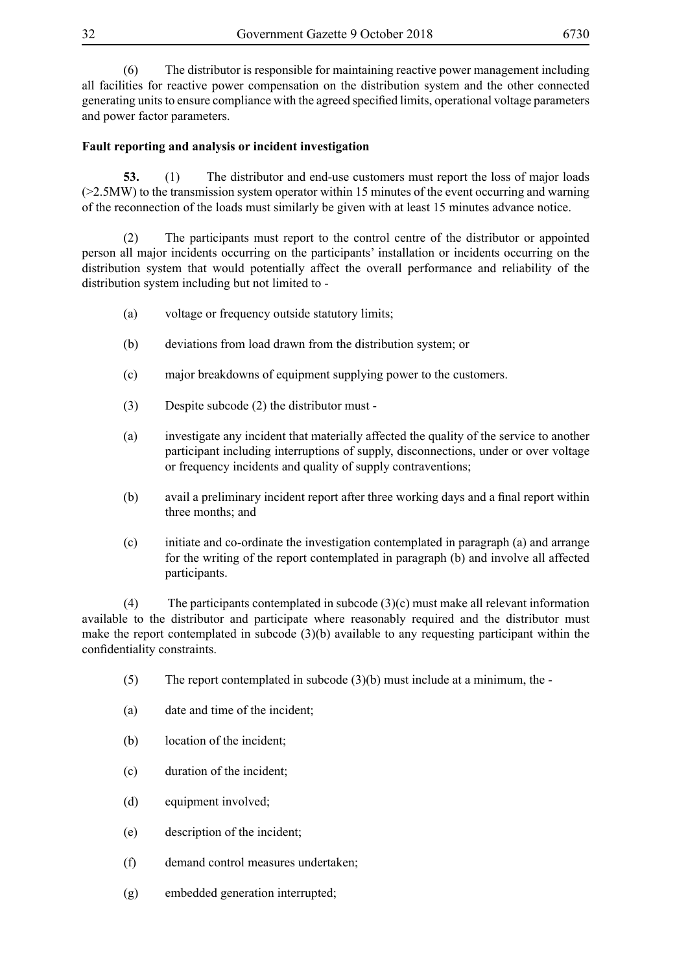(6) The distributor is responsible for maintaining reactive power management including all facilities for reactive power compensation on the distribution system and the other connected generating units to ensure compliance with the agreed specified limits, operational voltage parameters and power factor parameters.

## **Fault reporting and analysis or incident investigation**

**53.** (1) The distributor and end-use customers must report the loss of major loads (>2.5MW) to the transmission system operator within 15 minutes of the event occurring and warning of the reconnection of the loads must similarly be given with at least 15 minutes advance notice.

(2) The participants must report to the control centre of the distributor or appointed person all major incidents occurring on the participants' installation or incidents occurring on the distribution system that would potentially affect the overall performance and reliability of the distribution system including but not limited to -

- (a) voltage or frequency outside statutory limits;
- (b) deviations from load drawn from the distribution system; or
- (c) major breakdowns of equipment supplying power to the customers.
- (3) Despite subcode (2) the distributor must -
- (a) investigate any incident that materially affected the quality of the service to another participant including interruptions of supply, disconnections, under or over voltage or frequency incidents and quality of supply contraventions;
- (b) avail a preliminary incident report after three working days and a final report within three months; and
- (c) initiate and co-ordinate the investigation contemplated in paragraph (a) and arrange for the writing of the report contemplated in paragraph (b) and involve all affected participants.

(4) The participants contemplated in subcode (3)(c) must make all relevant information available to the distributor and participate where reasonably required and the distributor must make the report contemplated in subcode (3)(b) available to any requesting participant within the confidentiality constraints.

- $(5)$  The report contemplated in subcode  $(3)(b)$  must include at a minimum, the -
- (a) date and time of the incident;
- (b) location of the incident;
- (c) duration of the incident;
- (d) equipment involved;
- (e) description of the incident;
- (f) demand control measures undertaken;
- (g) embedded generation interrupted;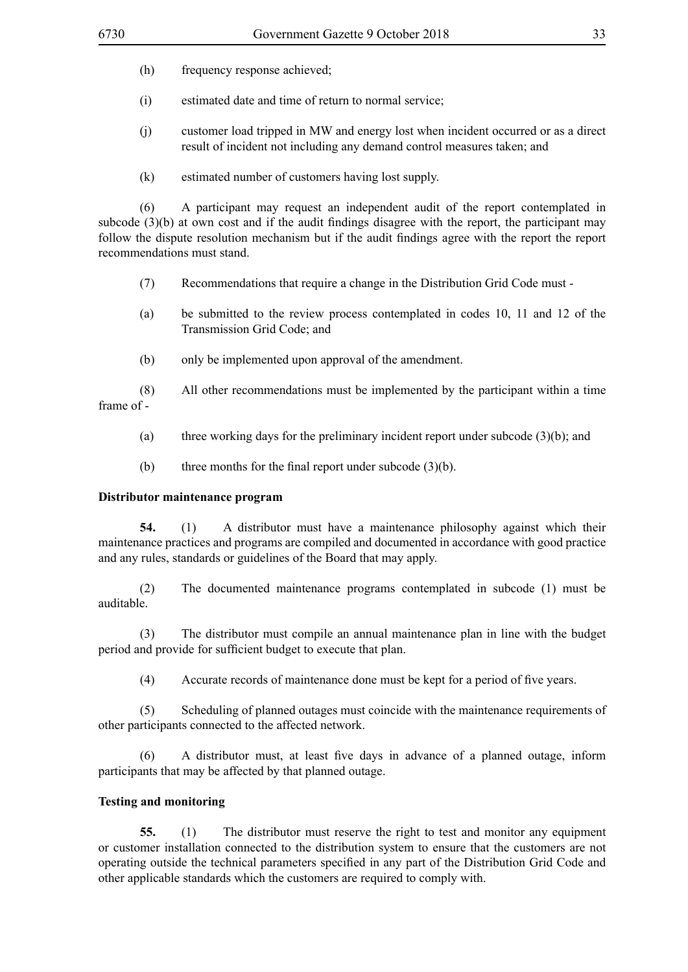- (h) frequency response achieved;
- (i) estimated date and time of return to normal service;
- (j) customer load tripped in MW and energy lost when incident occurred or as a direct result of incident not including any demand control measures taken; and
- (k) estimated number of customers having lost supply.

(6) A participant may request an independent audit of the report contemplated in subcode (3)(b) at own cost and if the audit findings disagree with the report, the participant may follow the dispute resolution mechanism but if the audit findings agree with the report the report recommendations must stand.

- (7) Recommendations that require a change in the Distribution Grid Code must -
- (a) be submitted to the review process contemplated in codes 10, 11 and 12 of the Transmission Grid Code; and
- (b) only be implemented upon approval of the amendment.

(8) All other recommendations must be implemented by the participant within a time frame of -

- (a) three working days for the preliminary incident report under subcode (3)(b); and
- (b) three months for the final report under subcode  $(3)(b)$ .

#### **Distributor maintenance program**

**54.** (1) A distributor must have a maintenance philosophy against which their maintenance practices and programs are compiled and documented in accordance with good practice and any rules, standards or guidelines of the Board that may apply.

(2) The documented maintenance programs contemplated in subcode (1) must be auditable.

(3) The distributor must compile an annual maintenance plan in line with the budget period and provide for sufficient budget to execute that plan.

(4) Accurate records of maintenance done must be kept for a period of five years.

(5) Scheduling of planned outages must coincide with the maintenance requirements of other participants connected to the affected network.

(6) A distributor must, at least five days in advance of a planned outage, inform participants that may be affected by that planned outage.

#### **Testing and monitoring**

**55.** (1) The distributor must reserve the right to test and monitor any equipment or customer installation connected to the distribution system to ensure that the customers are not operating outside the technical parameters specified in any part of the Distribution Grid Code and other applicable standards which the customers are required to comply with.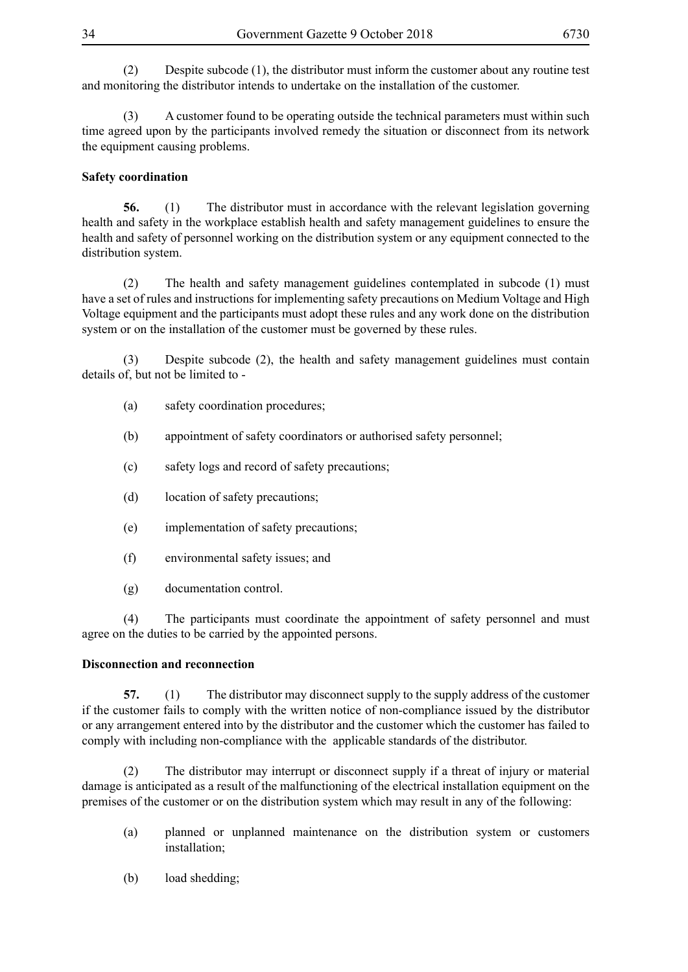(2) Despite subcode (1), the distributor must inform the customer about any routine test and monitoring the distributor intends to undertake on the installation of the customer.

(3) A customer found to be operating outside the technical parameters must within such time agreed upon by the participants involved remedy the situation or disconnect from its network the equipment causing problems.

# **Safety coordination**

**56.** (1) The distributor must in accordance with the relevant legislation governing health and safety in the workplace establish health and safety management guidelines to ensure the health and safety of personnel working on the distribution system or any equipment connected to the distribution system.

(2) The health and safety management guidelines contemplated in subcode (1) must have a set of rules and instructions for implementing safety precautions on Medium Voltage and High Voltage equipment and the participants must adopt these rules and any work done on the distribution system or on the installation of the customer must be governed by these rules.

(3) Despite subcode (2), the health and safety management guidelines must contain details of, but not be limited to -

- (a) safety coordination procedures;
- (b) appointment of safety coordinators or authorised safety personnel;
- (c) safety logs and record of safety precautions;
- (d) location of safety precautions;
- (e) implementation of safety precautions;
- (f) environmental safety issues; and
- (g) documentation control.

(4) The participants must coordinate the appointment of safety personnel and must agree on the duties to be carried by the appointed persons.

#### **Disconnection and reconnection**

**57.** (1) The distributor may disconnect supply to the supply address of the customer if the customer fails to comply with the written notice of non-compliance issued by the distributor or any arrangement entered into by the distributor and the customer which the customer has failed to comply with including non-compliance with the applicable standards of the distributor.

(2) The distributor may interrupt or disconnect supply if a threat of injury or material damage is anticipated as a result of the malfunctioning of the electrical installation equipment on the premises of the customer or on the distribution system which may result in any of the following:

- (a) planned or unplanned maintenance on the distribution system or customers installation;
- (b) load shedding;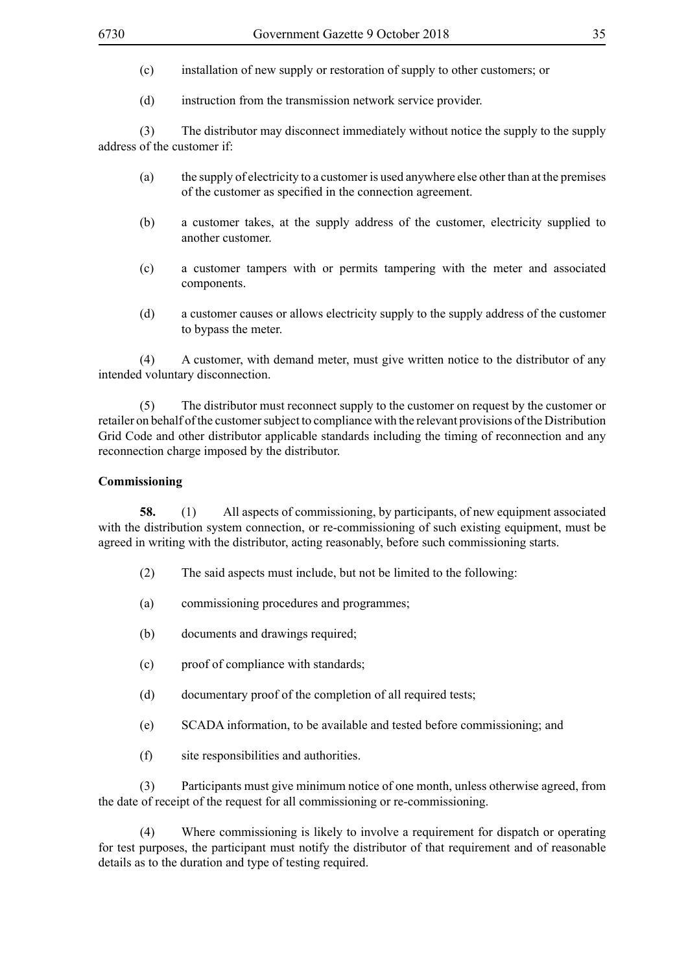- (c) installation of new supply or restoration of supply to other customers; or
- (d) instruction from the transmission network service provider.

(3) The distributor may disconnect immediately without notice the supply to the supply address of the customer if:

- (a) the supply of electricity to a customer is used anywhere else other than at the premises of the customer as specified in the connection agreement.
- (b) a customer takes, at the supply address of the customer, electricity supplied to another customer.
- (c) a customer tampers with or permits tampering with the meter and associated components.
- (d) a customer causes or allows electricity supply to the supply address of the customer to bypass the meter.

(4) A customer, with demand meter, must give written notice to the distributor of any intended voluntary disconnection.

(5) The distributor must reconnect supply to the customer on request by the customer or retailer on behalf of the customer subject to compliance with the relevant provisions of the Distribution Grid Code and other distributor applicable standards including the timing of reconnection and any reconnection charge imposed by the distributor.

#### **Commissioning**

**58.** (1) All aspects of commissioning, by participants, of new equipment associated with the distribution system connection, or re-commissioning of such existing equipment, must be agreed in writing with the distributor, acting reasonably, before such commissioning starts.

- (2) The said aspects must include, but not be limited to the following:
- (a) commissioning procedures and programmes;
- (b) documents and drawings required;
- (c) proof of compliance with standards;
- (d) documentary proof of the completion of all required tests;
- (e) SCADA information, to be available and tested before commissioning; and
- (f) site responsibilities and authorities.

(3) Participants must give minimum notice of one month, unless otherwise agreed, from the date of receipt of the request for all commissioning or re-commissioning.

(4) Where commissioning is likely to involve a requirement for dispatch or operating for test purposes, the participant must notify the distributor of that requirement and of reasonable details as to the duration and type of testing required.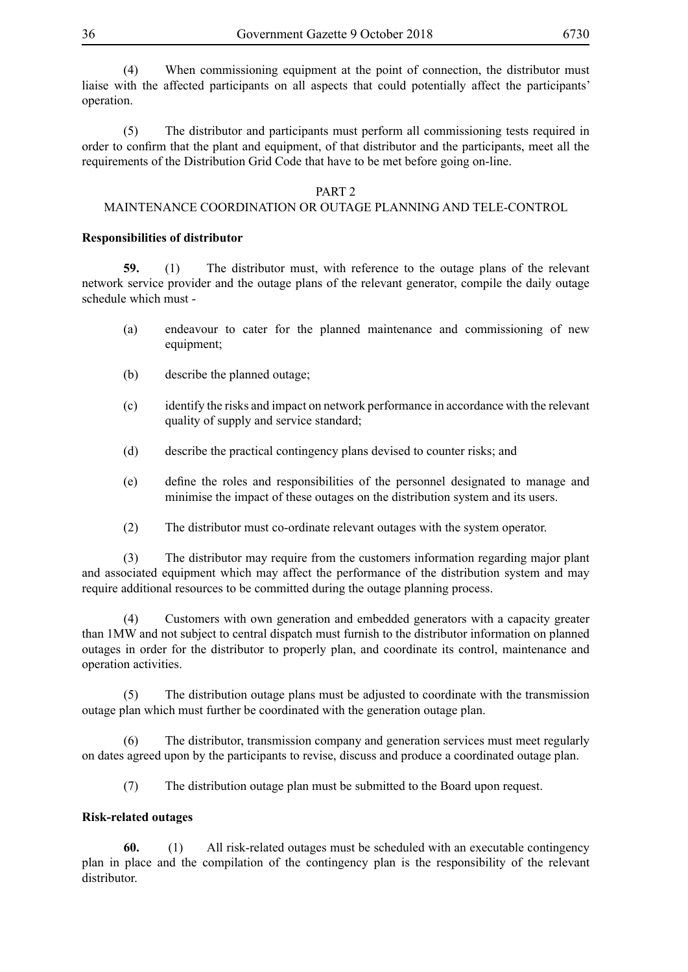(4) When commissioning equipment at the point of connection, the distributor must liaise with the affected participants on all aspects that could potentially affect the participants' operation.

(5) The distributor and participants must perform all commissioning tests required in order to confirm that the plant and equipment, of that distributor and the participants, meet all the requirements of the Distribution Grid Code that have to be met before going on-line.

#### PART 2

#### MAINTENANCE COORDINATION OR OUTAGE PLANNING AND TELE-CONTROL

#### **Responsibilities of distributor**

**59.** (1) The distributor must, with reference to the outage plans of the relevant network service provider and the outage plans of the relevant generator, compile the daily outage schedule which must -

- (a) endeavour to cater for the planned maintenance and commissioning of new equipment;
- (b) describe the planned outage;
- (c) identify the risks and impact on network performance in accordance with the relevant quality of supply and service standard;
- (d) describe the practical contingency plans devised to counter risks; and
- (e) define the roles and responsibilities of the personnel designated to manage and minimise the impact of these outages on the distribution system and its users.
- (2) The distributor must co-ordinate relevant outages with the system operator.

(3) The distributor may require from the customers information regarding major plant and associated equipment which may affect the performance of the distribution system and may require additional resources to be committed during the outage planning process.

(4) Customers with own generation and embedded generators with a capacity greater than 1MW and not subject to central dispatch must furnish to the distributor information on planned outages in order for the distributor to properly plan, and coordinate its control, maintenance and operation activities.

The distribution outage plans must be adjusted to coordinate with the transmission outage plan which must further be coordinated with the generation outage plan.

(6) The distributor, transmission company and generation services must meet regularly on dates agreed upon by the participants to revise, discuss and produce a coordinated outage plan.

(7) The distribution outage plan must be submitted to the Board upon request.

#### **Risk-related outages**

**60.** (1) All risk-related outages must be scheduled with an executable contingency plan in place and the compilation of the contingency plan is the responsibility of the relevant distributor.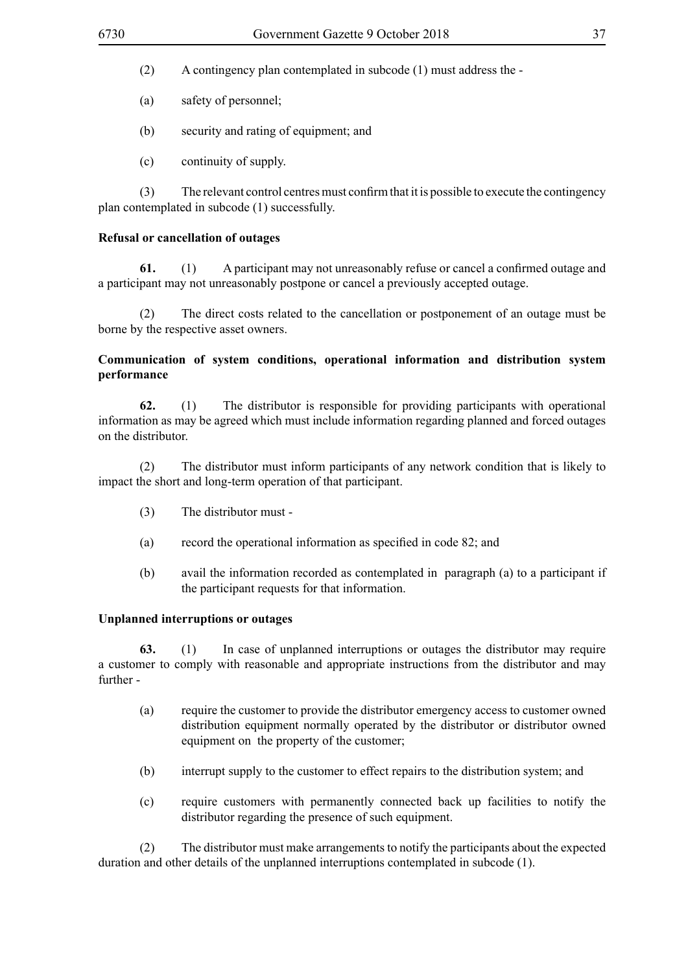- (2) A contingency plan contemplated in subcode (1) must address the -
- (a) safety of personnel;
- (b) security and rating of equipment; and
- (c) continuity of supply.

(3) The relevant control centres must confirm that it is possible to execute the contingency plan contemplated in subcode (1) successfully.

#### **Refusal or cancellation of outages**

**61.** (1) A participant may not unreasonably refuse or cancel a confirmed outage and a participant may not unreasonably postpone or cancel a previously accepted outage.

(2) The direct costs related to the cancellation or postponement of an outage must be borne by the respective asset owners.

#### **Communication of system conditions, operational information and distribution system performance**

**62.** (1) The distributor is responsible for providing participants with operational information as may be agreed which must include information regarding planned and forced outages on the distributor.

(2) The distributor must inform participants of any network condition that is likely to impact the short and long-term operation of that participant.

- (3) The distributor must -
- (a) record the operational information as specified in code 82; and
- (b) avail the information recorded as contemplated in paragraph (a) to a participant if the participant requests for that information.

#### **Unplanned interruptions or outages**

**63.** (1) In case of unplanned interruptions or outages the distributor may require a customer to comply with reasonable and appropriate instructions from the distributor and may further -

- (a) require the customer to provide the distributor emergency access to customer owned distribution equipment normally operated by the distributor or distributor owned equipment on the property of the customer;
- (b) interrupt supply to the customer to effect repairs to the distribution system; and
- (c) require customers with permanently connected back up facilities to notify the distributor regarding the presence of such equipment.

(2) The distributor must make arrangements to notify the participants about the expected duration and other details of the unplanned interruptions contemplated in subcode (1).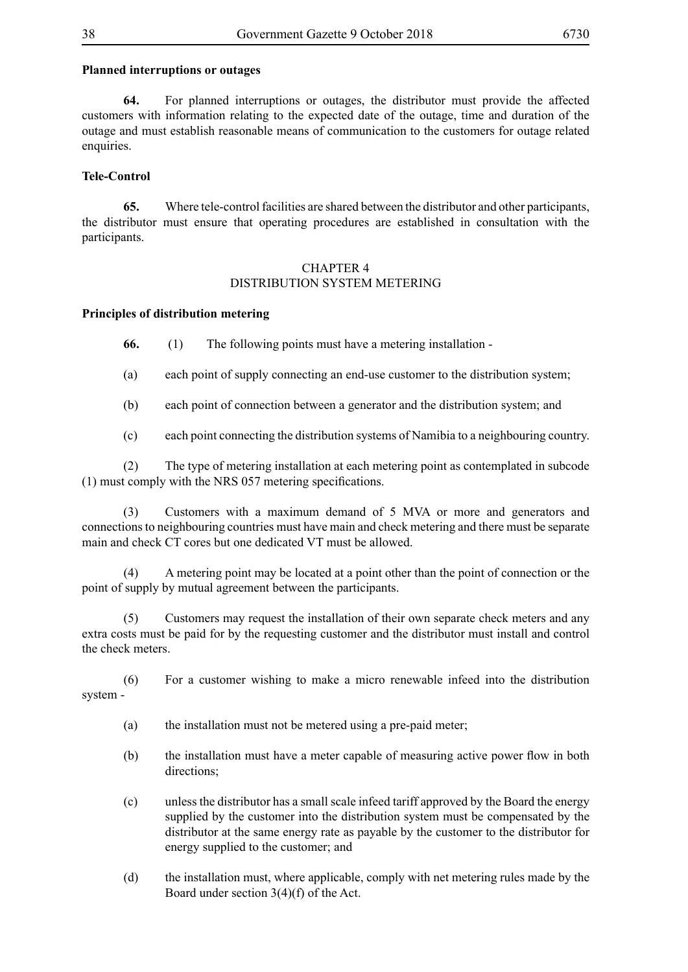#### **Planned interruptions or outages**

**64.** For planned interruptions or outages, the distributor must provide the affected customers with information relating to the expected date of the outage, time and duration of the outage and must establish reasonable means of communication to the customers for outage related enquiries.

#### **Tele-Control**

**65.** Where tele-control facilities are shared between the distributor and other participants, the distributor must ensure that operating procedures are established in consultation with the participants.

#### CHAPTER 4 DISTRIBUTION SYSTEM METERING

#### **Principles of distribution metering**

**66.** (1) The following points must have a metering installation -

(a) each point of supply connecting an end-use customer to the distribution system;

(b) each point of connection between a generator and the distribution system; and

(c) each point connecting the distribution systems of Namibia to a neighbouring country.

(2) The type of metering installation at each metering point as contemplated in subcode (1) must comply with the NRS 057 metering specifications.

(3) Customers with a maximum demand of 5 MVA or more and generators and connections to neighbouring countries must have main and check metering and there must be separate main and check CT cores but one dedicated VT must be allowed.

(4) A metering point may be located at a point other than the point of connection or the point of supply by mutual agreement between the participants.

Customers may request the installation of their own separate check meters and any extra costs must be paid for by the requesting customer and the distributor must install and control the check meters.

(6) For a customer wishing to make a micro renewable infeed into the distribution system -

- (a) the installation must not be metered using a pre-paid meter;
- (b) the installation must have a meter capable of measuring active power flow in both directions;
- (c) unless the distributor has a small scale infeed tariff approved by the Board the energy supplied by the customer into the distribution system must be compensated by the distributor at the same energy rate as payable by the customer to the distributor for energy supplied to the customer; and
- (d) the installation must, where applicable, comply with net metering rules made by the Board under section 3(4)(f) of the Act.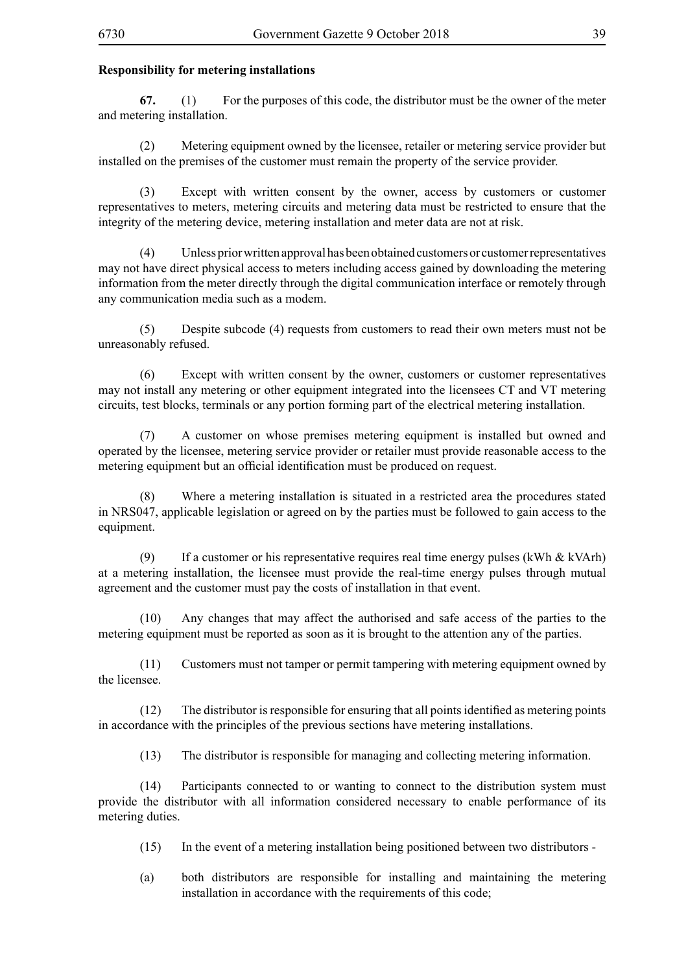#### **Responsibility for metering installations**

**67.** (1) For the purposes of this code, the distributor must be the owner of the meter and metering installation.

(2) Metering equipment owned by the licensee, retailer or metering service provider but installed on the premises of the customer must remain the property of the service provider.

(3) Except with written consent by the owner, access by customers or customer representatives to meters, metering circuits and metering data must be restricted to ensure that the integrity of the metering device, metering installation and meter data are not at risk.

(4) Unless prior written approval has been obtained customers or customer representatives may not have direct physical access to meters including access gained by downloading the metering information from the meter directly through the digital communication interface or remotely through any communication media such as a modem.

(5) Despite subcode (4) requests from customers to read their own meters must not be unreasonably refused.

(6) Except with written consent by the owner, customers or customer representatives may not install any metering or other equipment integrated into the licensees CT and VT metering circuits, test blocks, terminals or any portion forming part of the electrical metering installation.

(7) A customer on whose premises metering equipment is installed but owned and operated by the licensee, metering service provider or retailer must provide reasonable access to the metering equipment but an official identification must be produced on request.

(8) Where a metering installation is situated in a restricted area the procedures stated in NRS047, applicable legislation or agreed on by the parties must be followed to gain access to the equipment.

(9) If a customer or his representative requires real time energy pulses (kWh  $&$  kVArh) at a metering installation, the licensee must provide the real-time energy pulses through mutual agreement and the customer must pay the costs of installation in that event.

(10) Any changes that may affect the authorised and safe access of the parties to the metering equipment must be reported as soon as it is brought to the attention any of the parties.

(11) Customers must not tamper or permit tampering with metering equipment owned by the licensee.

 $(12)$  The distributor is responsible for ensuring that all points identified as metering points in accordance with the principles of the previous sections have metering installations.

(13) The distributor is responsible for managing and collecting metering information.

(14) Participants connected to or wanting to connect to the distribution system must provide the distributor with all information considered necessary to enable performance of its metering duties.

(15) In the event of a metering installation being positioned between two distributors -

(a) both distributors are responsible for installing and maintaining the metering installation in accordance with the requirements of this code;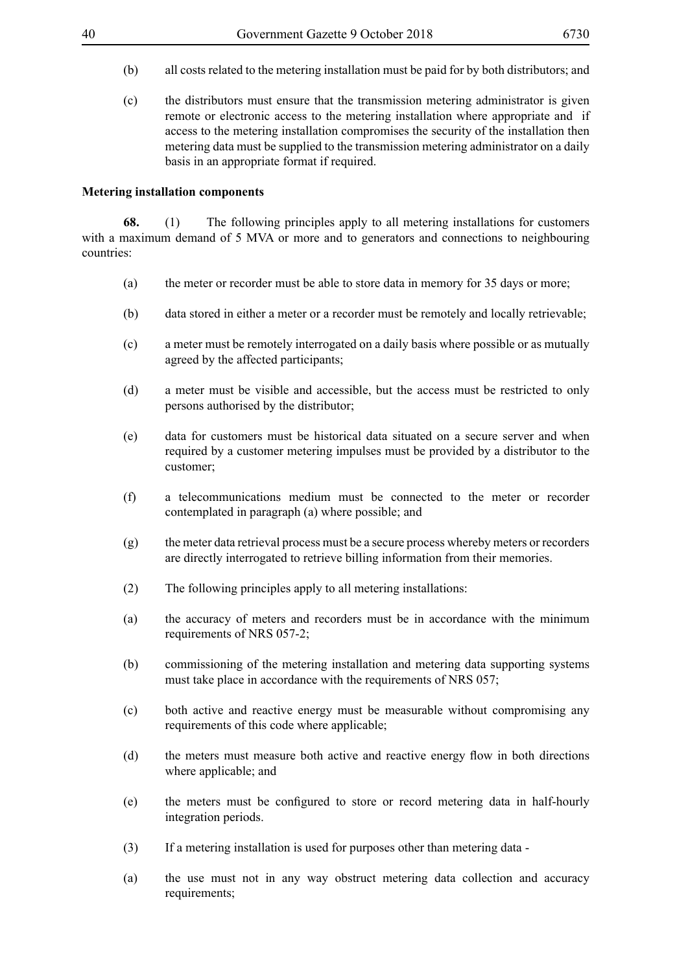- (b) all costs related to the metering installation must be paid for by both distributors; and
- (c) the distributors must ensure that the transmission metering administrator is given remote or electronic access to the metering installation where appropriate and if access to the metering installation compromises the security of the installation then metering data must be supplied to the transmission metering administrator on a daily basis in an appropriate format if required.

#### **Metering installation components**

**68.** (1) The following principles apply to all metering installations for customers with a maximum demand of 5 MVA or more and to generators and connections to neighbouring countries:

- (a) the meter or recorder must be able to store data in memory for 35 days or more;
- (b) data stored in either a meter or a recorder must be remotely and locally retrievable;
- (c) a meter must be remotely interrogated on a daily basis where possible or as mutually agreed by the affected participants;
- (d) a meter must be visible and accessible, but the access must be restricted to only persons authorised by the distributor;
- (e) data for customers must be historical data situated on a secure server and when required by a customer metering impulses must be provided by a distributor to the customer;
- (f) a telecommunications medium must be connected to the meter or recorder contemplated in paragraph (a) where possible; and
- (g) the meter data retrieval process must be a secure process whereby meters or recorders are directly interrogated to retrieve billing information from their memories.
- (2) The following principles apply to all metering installations:
- (a) the accuracy of meters and recorders must be in accordance with the minimum requirements of NRS 057-2;
- (b) commissioning of the metering installation and metering data supporting systems must take place in accordance with the requirements of NRS 057;
- (c) both active and reactive energy must be measurable without compromising any requirements of this code where applicable;
- (d) the meters must measure both active and reactive energy flow in both directions where applicable; and
- (e) the meters must be configured to store or record metering data in half-hourly integration periods.
- (3) If a metering installation is used for purposes other than metering data -
- (a) the use must not in any way obstruct metering data collection and accuracy requirements;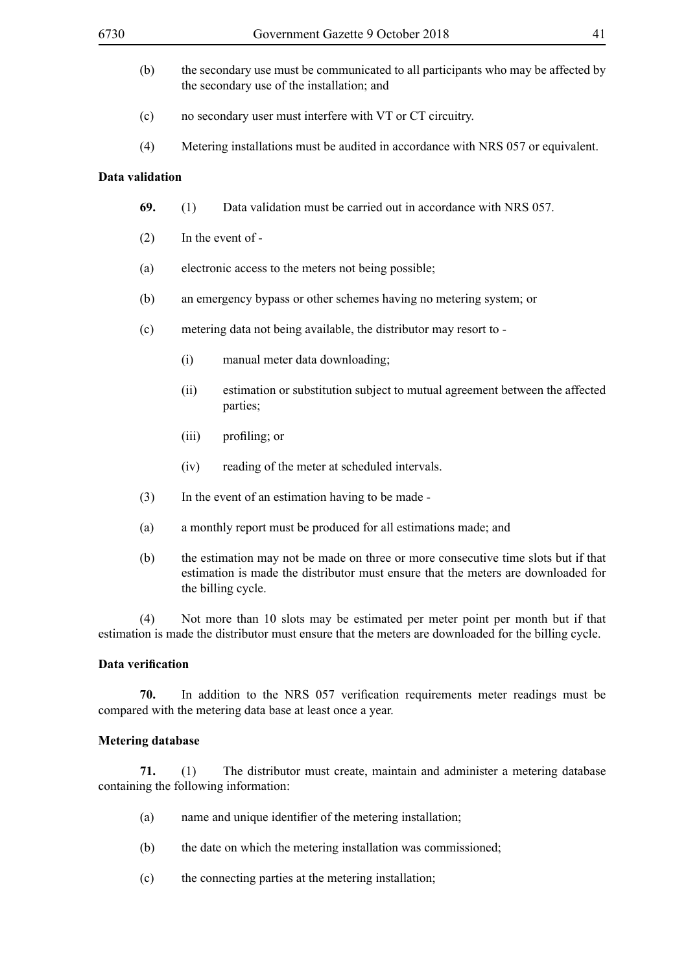- (b) the secondary use must be communicated to all participants who may be affected by the secondary use of the installation; and
- (c) no secondary user must interfere with VT or CT circuitry.
- (4) Metering installations must be audited in accordance with NRS 057 or equivalent.

#### **Data validation**

- **69.** (1) Data validation must be carried out in accordance with NRS 057.
- (2) In the event of -
- (a) electronic access to the meters not being possible;
- (b) an emergency bypass or other schemes having no metering system; or
- (c) metering data not being available, the distributor may resort to
	- (i) manual meter data downloading;
	- (ii) estimation or substitution subject to mutual agreement between the affected parties;
	- (iii) profiling; or
	- (iv) reading of the meter at scheduled intervals.
- (3) In the event of an estimation having to be made -
- (a) a monthly report must be produced for all estimations made; and
- (b) the estimation may not be made on three or more consecutive time slots but if that estimation is made the distributor must ensure that the meters are downloaded for the billing cycle.

(4) Not more than 10 slots may be estimated per meter point per month but if that estimation is made the distributor must ensure that the meters are downloaded for the billing cycle.

#### **Data verification**

**70.** In addition to the NRS 057 verification requirements meter readings must be compared with the metering data base at least once a year.

#### **Metering database**

**71.** (1) The distributor must create, maintain and administer a metering database containing the following information:

- (a) name and unique identifier of the metering installation;
- (b) the date on which the metering installation was commissioned;
- (c) the connecting parties at the metering installation;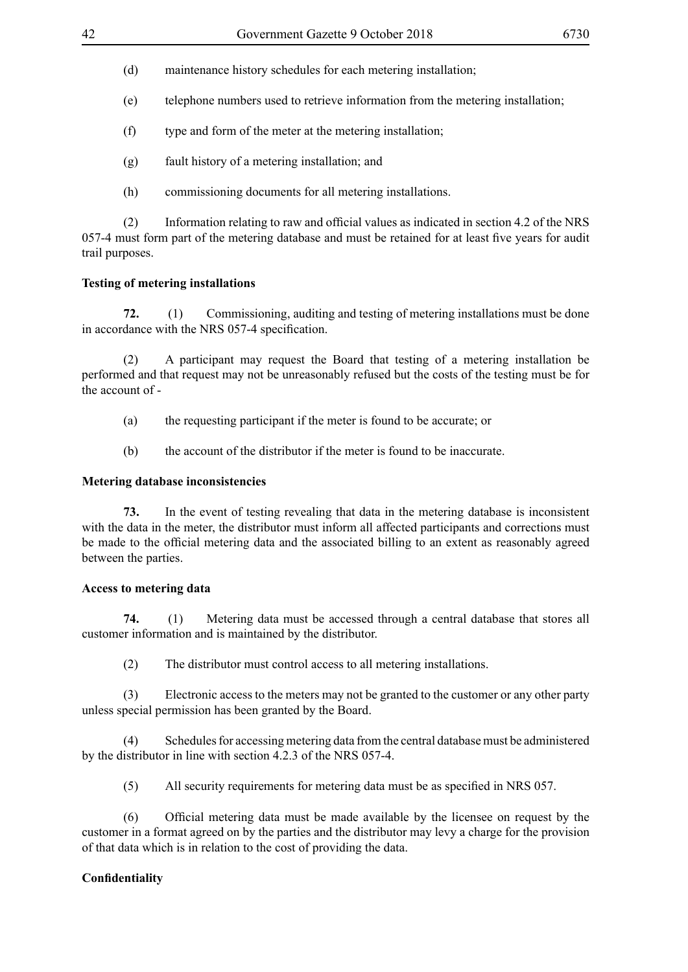- (d) maintenance history schedules for each metering installation;
- (e) telephone numbers used to retrieve information from the metering installation;
- (f) type and form of the meter at the metering installation;
- (g) fault history of a metering installation; and
- (h) commissioning documents for all metering installations.

(2) Information relating to raw and official values as indicated in section 4.2 of the NRS 057-4 must form part of the metering database and must be retained for at least five years for audit trail purposes.

# **Testing of metering installations**

**72.** (1) Commissioning, auditing and testing of metering installations must be done in accordance with the NRS 057-4 specification.

(2) A participant may request the Board that testing of a metering installation be performed and that request may not be unreasonably refused but the costs of the testing must be for the account of -

- (a) the requesting participant if the meter is found to be accurate; or
- (b) the account of the distributor if the meter is found to be inaccurate.

# **Metering database inconsistencies**

**73.** In the event of testing revealing that data in the metering database is inconsistent with the data in the meter, the distributor must inform all affected participants and corrections must be made to the official metering data and the associated billing to an extent as reasonably agreed between the parties.

# **Access to metering data**

**74.** (1) Metering data must be accessed through a central database that stores all customer information and is maintained by the distributor.

(2) The distributor must control access to all metering installations.

(3) Electronic access to the meters may not be granted to the customer or any other party unless special permission has been granted by the Board.

(4) Schedules for accessing metering data from the central database must be administered by the distributor in line with section 4.2.3 of the NRS 057-4.

(5) All security requirements for metering data must be as specified in NRS 057.

(6) Official metering data must be made available by the licensee on request by the customer in a format agreed on by the parties and the distributor may levy a charge for the provision of that data which is in relation to the cost of providing the data.

# **Confidentiality**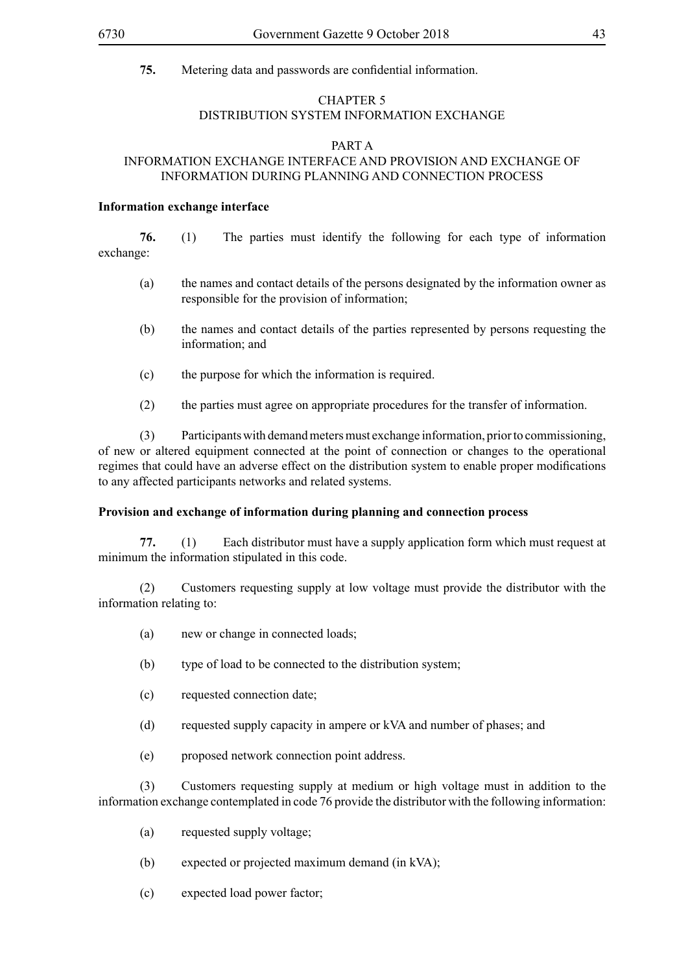**75.** Metering data and passwords are confidential information.

#### CHAPTER 5 DISTRIBUTION SYSTEM INFORMATION EXCHANGE

#### PART A

# INFORMATION EXCHANGE INTERFACE AND PROVISION AND EXCHANGE OF INFORMATION DURING PLANNING AND CONNECTION PROCESS

#### **Information exchange interface**

**76.** (1) The parties must identify the following for each type of information exchange:

- (a) the names and contact details of the persons designated by the information owner as responsible for the provision of information;
- (b) the names and contact details of the parties represented by persons requesting the information; and
- (c) the purpose for which the information is required.
- (2) the parties must agree on appropriate procedures for the transfer of information.

(3) Participants with demand meters must exchange information, prior to commissioning, of new or altered equipment connected at the point of connection or changes to the operational regimes that could have an adverse effect on the distribution system to enable proper modifications to any affected participants networks and related systems.

#### **Provision and exchange of information during planning and connection process**

**77.** (1) Each distributor must have a supply application form which must request at minimum the information stipulated in this code.

(2) Customers requesting supply at low voltage must provide the distributor with the information relating to:

- (a) new or change in connected loads;
- (b) type of load to be connected to the distribution system;
- (c) requested connection date;
- (d) requested supply capacity in ampere or kVA and number of phases; and
- (e) proposed network connection point address.

(3) Customers requesting supply at medium or high voltage must in addition to the information exchange contemplated in code 76 provide the distributor with the following information:

- (a) requested supply voltage;
- (b) expected or projected maximum demand (in kVA);
- (c) expected load power factor;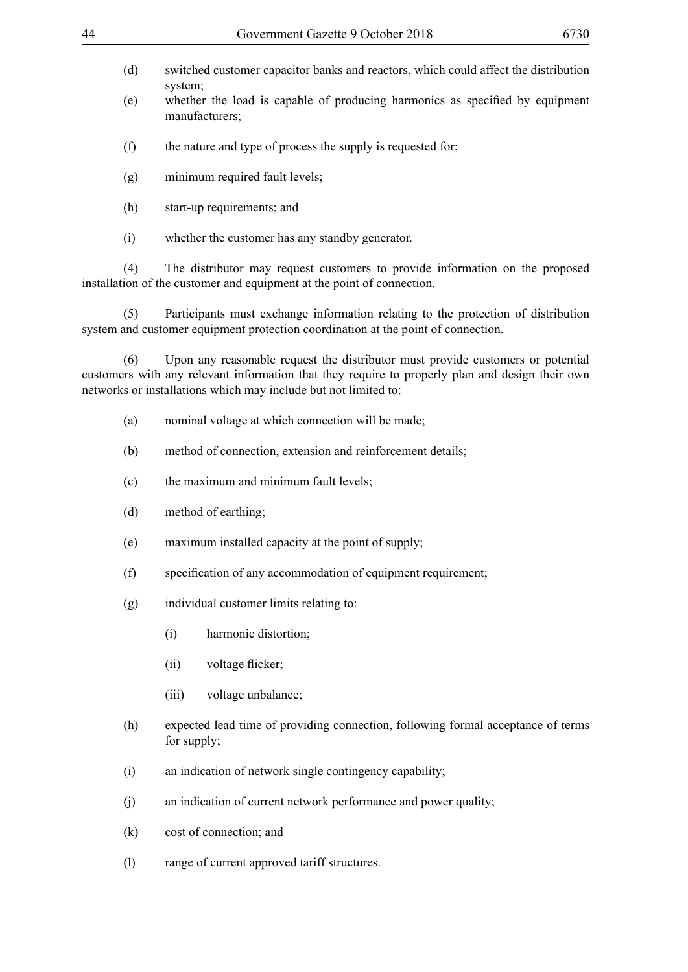- 
- (d) switched customer capacitor banks and reactors, which could affect the distribution system;
- (e) whether the load is capable of producing harmonics as specified by equipment manufacturers;
- (f) the nature and type of process the supply is requested for;
- (g) minimum required fault levels;
- (h) start-up requirements; and
- (i) whether the customer has any standby generator.

(4) The distributor may request customers to provide information on the proposed installation of the customer and equipment at the point of connection.

(5) Participants must exchange information relating to the protection of distribution system and customer equipment protection coordination at the point of connection.

(6) Upon any reasonable request the distributor must provide customers or potential customers with any relevant information that they require to properly plan and design their own networks or installations which may include but not limited to:

- (a) nominal voltage at which connection will be made;
- (b) method of connection, extension and reinforcement details;
- (c) the maximum and minimum fault levels;
- (d) method of earthing;
- (e) maximum installed capacity at the point of supply;
- (f) specification of any accommodation of equipment requirement;
- (g) individual customer limits relating to:
	- (i) harmonic distortion;
	- (ii) voltage flicker;
	- (iii) voltage unbalance;
- (h) expected lead time of providing connection, following formal acceptance of terms for supply;
- (i) an indication of network single contingency capability;
- (j) an indication of current network performance and power quality;
- (k) cost of connection; and
- (l) range of current approved tariff structures.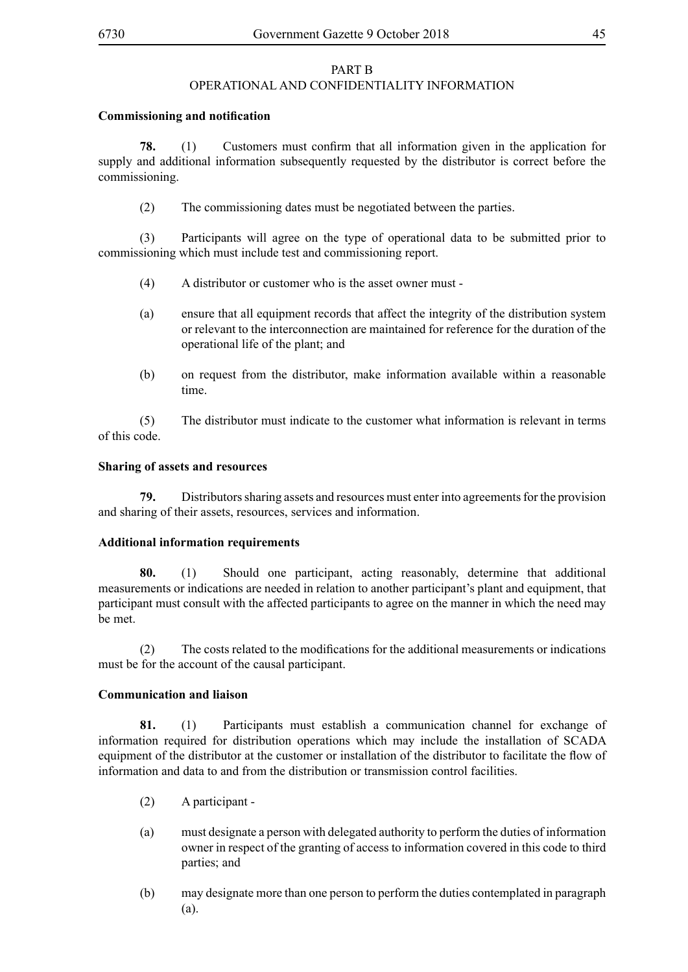#### PART B OPERATIONAL AND CONFIDENTIALITY INFORMATION

#### **Commissioning and notification**

**78.** (1) Customers must confirm that all information given in the application for supply and additional information subsequently requested by the distributor is correct before the commissioning.

(2) The commissioning dates must be negotiated between the parties.

(3) Participants will agree on the type of operational data to be submitted prior to commissioning which must include test and commissioning report.

- (4) A distributor or customer who is the asset owner must -
- (a) ensure that all equipment records that affect the integrity of the distribution system or relevant to the interconnection are maintained for reference for the duration of the operational life of the plant; and
- (b) on request from the distributor, make information available within a reasonable time.

(5) The distributor must indicate to the customer what information is relevant in terms of this code.

#### **Sharing of assets and resources**

**79.** Distributors sharing assets and resources must enter into agreements for the provision and sharing of their assets, resources, services and information.

#### **Additional information requirements**

**80.** (1) Should one participant, acting reasonably, determine that additional measurements or indications are needed in relation to another participant's plant and equipment, that participant must consult with the affected participants to agree on the manner in which the need may be met.

(2) The costs related to the modifications for the additional measurements or indications must be for the account of the causal participant.

#### **Communication and liaison**

**81.** (1) Participants must establish a communication channel for exchange of information required for distribution operations which may include the installation of SCADA equipment of the distributor at the customer or installation of the distributor to facilitate the flow of information and data to and from the distribution or transmission control facilities.

- (2) A participant -
- (a) must designate a person with delegated authority to perform the duties of information owner in respect of the granting of access to information covered in this code to third parties; and
- (b) may designate more than one person to perform the duties contemplated in paragraph (a).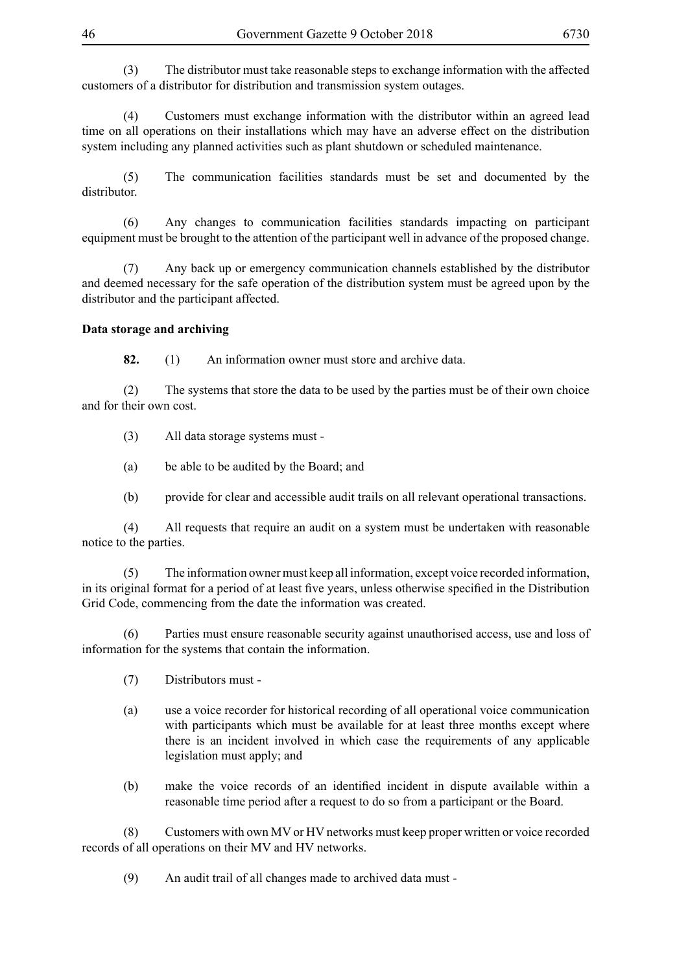(3) The distributor must take reasonable steps to exchange information with the affected customers of a distributor for distribution and transmission system outages.

(4) Customers must exchange information with the distributor within an agreed lead time on all operations on their installations which may have an adverse effect on the distribution system including any planned activities such as plant shutdown or scheduled maintenance.

(5) The communication facilities standards must be set and documented by the distributor.

(6) Any changes to communication facilities standards impacting on participant equipment must be brought to the attention of the participant well in advance of the proposed change.

(7) Any back up or emergency communication channels established by the distributor and deemed necessary for the safe operation of the distribution system must be agreed upon by the distributor and the participant affected.

#### **Data storage and archiving**

**82.** (1) An information owner must store and archive data.

(2) The systems that store the data to be used by the parties must be of their own choice and for their own cost.

(3) All data storage systems must -

(a) be able to be audited by the Board; and

(b) provide for clear and accessible audit trails on all relevant operational transactions.

(4) All requests that require an audit on a system must be undertaken with reasonable notice to the parties.

(5) The information owner must keep all information, except voice recorded information, in its original format for a period of at least five years, unless otherwise specified in the Distribution Grid Code, commencing from the date the information was created.

(6) Parties must ensure reasonable security against unauthorised access, use and loss of information for the systems that contain the information.

- (7) Distributors must -
- (a) use a voice recorder for historical recording of all operational voice communication with participants which must be available for at least three months except where there is an incident involved in which case the requirements of any applicable legislation must apply; and
- (b) make the voice records of an identified incident in dispute available within a reasonable time period after a request to do so from a participant or the Board.

(8) Customers with own MV or HV networks must keep proper written or voice recorded records of all operations on their MV and HV networks.

(9) An audit trail of all changes made to archived data must -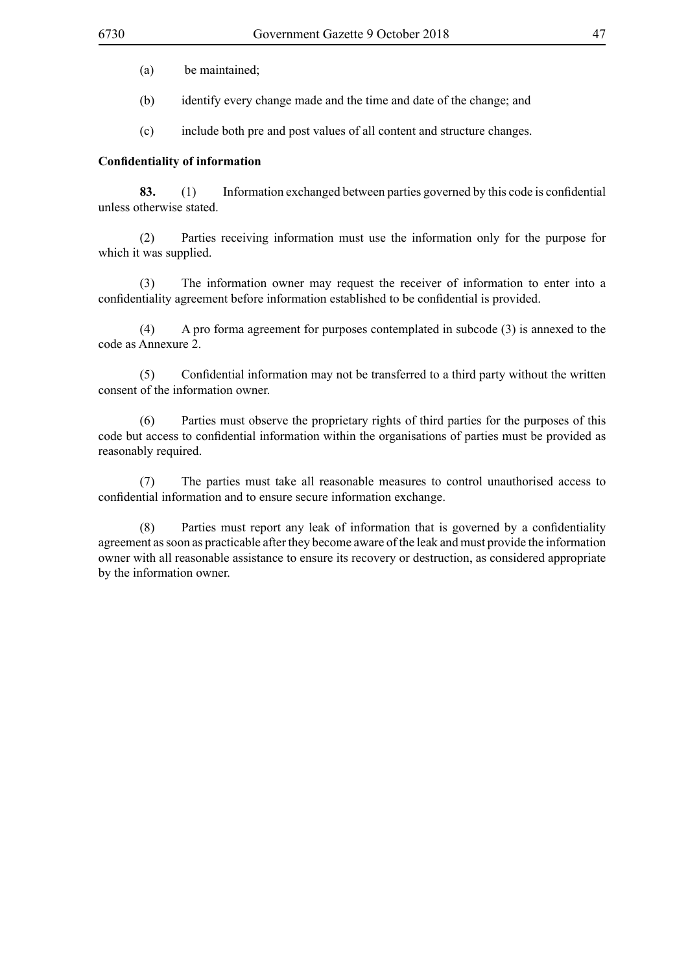- (a) be maintained;
- (b) identify every change made and the time and date of the change; and
- (c) include both pre and post values of all content and structure changes.

# **Confidentiality of information**

**83.** (1) Information exchanged between parties governed by this code is confidential unless otherwise stated.

(2) Parties receiving information must use the information only for the purpose for which it was supplied.

(3) The information owner may request the receiver of information to enter into a confidentiality agreement before information established to be confidential is provided.

(4) A pro forma agreement for purposes contemplated in subcode (3) is annexed to the code as Annexure 2.

(5) Confidential information may not be transferred to a third party without the written consent of the information owner.

(6) Parties must observe the proprietary rights of third parties for the purposes of this code but access to confidential information within the organisations of parties must be provided as reasonably required.

(7) The parties must take all reasonable measures to control unauthorised access to confidential information and to ensure secure information exchange.

(8) Parties must report any leak of information that is governed by a confidentiality agreement as soon as practicable after they become aware of the leak and must provide the information owner with all reasonable assistance to ensure its recovery or destruction, as considered appropriate by the information owner.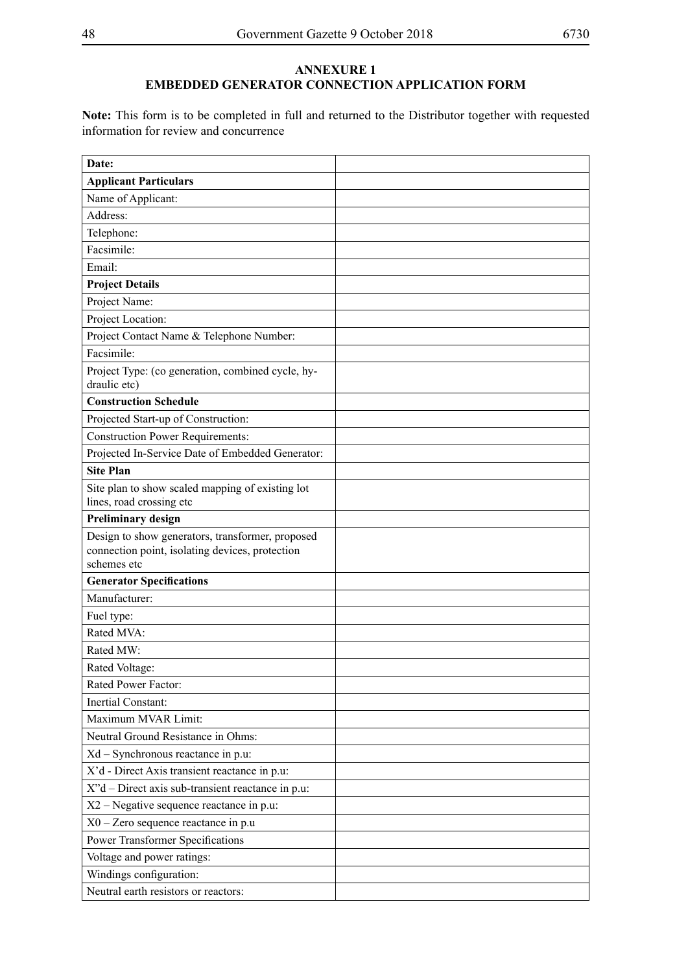# **ANNEXURE 1 EMBEDDED GENERATOR CONNECTION APPLICATION FORM**

**Note:** This form is to be completed in full and returned to the Distributor together with requested information for review and concurrence

| Date:                                                                                                              |  |
|--------------------------------------------------------------------------------------------------------------------|--|
| <b>Applicant Particulars</b>                                                                                       |  |
| Name of Applicant:                                                                                                 |  |
| Address:                                                                                                           |  |
| Telephone:                                                                                                         |  |
| Facsimile:                                                                                                         |  |
| Email:                                                                                                             |  |
| <b>Project Details</b>                                                                                             |  |
| Project Name:                                                                                                      |  |
| Project Location:                                                                                                  |  |
| Project Contact Name & Telephone Number:                                                                           |  |
| Facsimile:                                                                                                         |  |
| Project Type: (co generation, combined cycle, hy-<br>draulic etc)                                                  |  |
| <b>Construction Schedule</b>                                                                                       |  |
| Projected Start-up of Construction:                                                                                |  |
| <b>Construction Power Requirements:</b>                                                                            |  |
| Projected In-Service Date of Embedded Generator:                                                                   |  |
| <b>Site Plan</b>                                                                                                   |  |
| Site plan to show scaled mapping of existing lot<br>lines, road crossing etc                                       |  |
| <b>Preliminary design</b>                                                                                          |  |
| Design to show generators, transformer, proposed<br>connection point, isolating devices, protection<br>schemes etc |  |
| <b>Generator Specifications</b>                                                                                    |  |
| Manufacturer:                                                                                                      |  |
| Fuel type:                                                                                                         |  |
| Rated MVA:                                                                                                         |  |
| Rated MW:                                                                                                          |  |
| Rated Voltage:                                                                                                     |  |
| Rated Power Factor:                                                                                                |  |
| Inertial Constant:                                                                                                 |  |
| Maximum MVAR Limit:                                                                                                |  |
| Neutral Ground Resistance in Ohms:                                                                                 |  |
| Xd - Synchronous reactance in p.u:                                                                                 |  |
| X'd - Direct Axis transient reactance in p.u:                                                                      |  |
| X"d – Direct axis sub-transient reactance in p.u:                                                                  |  |
| $X2$ – Negative sequence reactance in p.u:                                                                         |  |
| $X0 - Zero$ sequence reactance in p.u                                                                              |  |
| <b>Power Transformer Specifications</b>                                                                            |  |
| Voltage and power ratings:                                                                                         |  |
| Windings configuration:                                                                                            |  |
| Neutral earth resistors or reactors:                                                                               |  |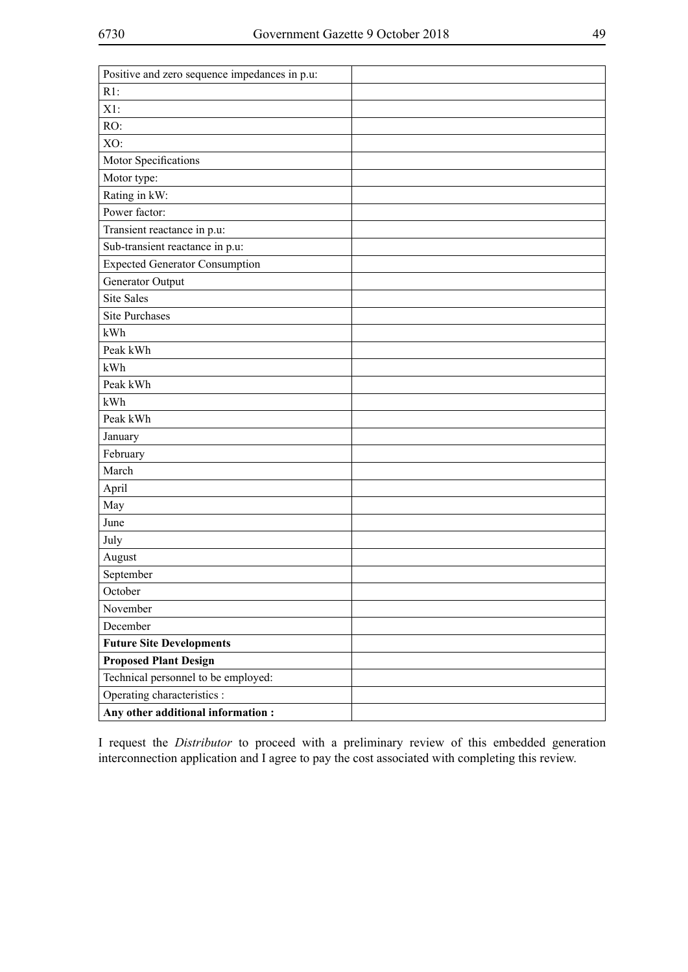| Positive and zero sequence impedances in p.u: |  |
|-----------------------------------------------|--|
| $R1$ :                                        |  |
| $X1$ :                                        |  |
| RO:                                           |  |
| XO:                                           |  |
| Motor Specifications                          |  |
| Motor type:                                   |  |
| Rating in kW:                                 |  |
| Power factor:                                 |  |
| Transient reactance in p.u:                   |  |
| Sub-transient reactance in p.u:               |  |
| <b>Expected Generator Consumption</b>         |  |
| Generator Output                              |  |
| <b>Site Sales</b>                             |  |
| <b>Site Purchases</b>                         |  |
| kWh                                           |  |
| Peak kWh                                      |  |
| kWh                                           |  |
| Peak kWh                                      |  |
| kWh                                           |  |
| Peak kWh                                      |  |
| January                                       |  |
| February                                      |  |
| March                                         |  |
| April                                         |  |
| May                                           |  |
| June                                          |  |
| July                                          |  |
| August                                        |  |
| September                                     |  |
| October                                       |  |
| November                                      |  |
| December                                      |  |
| <b>Future Site Developments</b>               |  |
| <b>Proposed Plant Design</b>                  |  |
| Technical personnel to be employed:           |  |
| Operating characteristics :                   |  |
| Any other additional information:             |  |

I request the *Distributor* to proceed with a preliminary review of this embedded generation interconnection application and I agree to pay the cost associated with completing this review.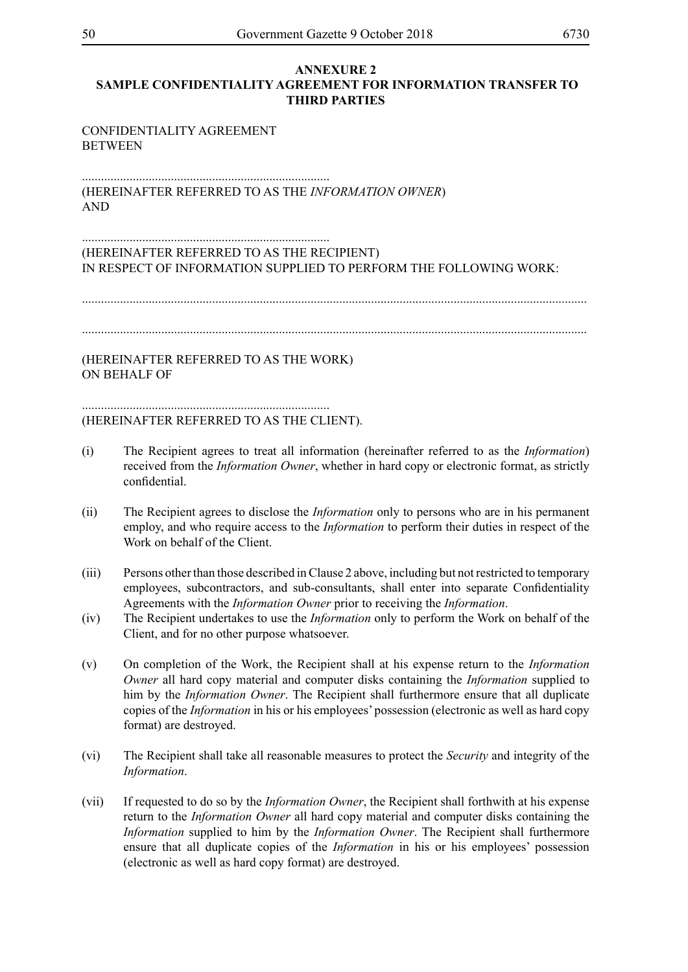#### **ANNEXURE 2 SAMPLE CONFIDENTIALITY AGREEMENT FOR INFORMATION TRANSFER TO THIRD PARTIES**

#### CONFIDENTIALITY AGREEMENT **BETWEEN**

.............................................................................. (HEREINAFTER REFERRED TO AS THE *INFORMATION OWNER*) AND

#### .............................................................................. (HEREINAFTER REFERRED TO AS THE RECIPIENT) IN RESPECT OF INFORMATION SUPPLIED TO PERFORM THE FOLLOWING WORK:

...............................................................................................................................................................

...............................................................................................................................................................

(HEREINAFTER REFERRED TO AS THE WORK) ON BEHALF OF

#### .............................................................................. (HEREINAFTER REFERRED TO AS THE CLIENT).

- (i) The Recipient agrees to treat all information (hereinafter referred to as the *Information*) received from the *Information Owner*, whether in hard copy or electronic format, as strictly confidential.
- (ii) The Recipient agrees to disclose the *Information* only to persons who are in his permanent employ, and who require access to the *Information* to perform their duties in respect of the Work on behalf of the Client.
- (iii) Persons other than those described in Clause 2 above, including but not restricted to temporary employees, subcontractors, and sub-consultants, shall enter into separate Confidentiality Agreements with the *Information Owner* prior to receiving the *Information*.
- (iv) The Recipient undertakes to use the *Information* only to perform the Work on behalf of the Client, and for no other purpose whatsoever.
- (v) On completion of the Work, the Recipient shall at his expense return to the *Information Owner* all hard copy material and computer disks containing the *Information* supplied to him by the *Information Owner*. The Recipient shall furthermore ensure that all duplicate copies of the *Information* in his or his employees' possession (electronic as well as hard copy format) are destroyed.
- (vi) The Recipient shall take all reasonable measures to protect the *Security* and integrity of the *Information*.
- (vii) If requested to do so by the *Information Owner*, the Recipient shall forthwith at his expense return to the *Information Owner* all hard copy material and computer disks containing the *Information* supplied to him by the *Information Owner*. The Recipient shall furthermore ensure that all duplicate copies of the *Information* in his or his employees' possession (electronic as well as hard copy format) are destroyed.